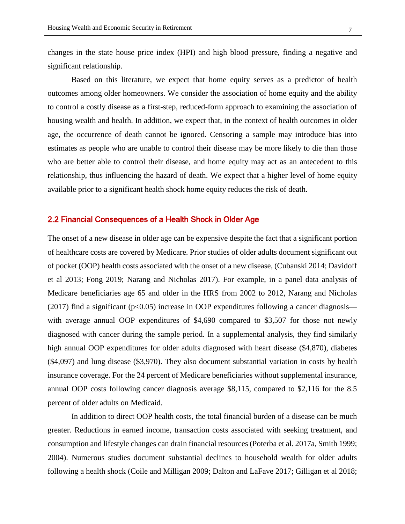changes in the state house price index (HPI) and high blood pressure, finding a negative and significant relationship.

Based on this literature, we expect that home equity serves as a predictor of health outcomes among older homeowners. We consider the association of home equity and the ability to control a costly disease as a first-step, reduced-form approach to examining the association of housing wealth and health. In addition, we expect that, in the context of health outcomes in older age, the occurrence of death cannot be ignored. Censoring a sample may introduce bias into estimates as people who are unable to control their disease may be more likely to die than those who are better able to control their disease, and home equity may act as an antecedent to this relationship, thus influencing the hazard of death. We expect that a higher level of home equity available prior to a significant health shock home equity reduces the risk of death.

### 2.2 Financial Consequences of a Health Shock in Older Age

The onset of a new disease in older age can be expensive despite the fact that a significant portion of healthcare costs are covered by Medicare. Prior studies of older adults document significant out of pocket (OOP) health costs associated with the onset of a new disease, (Cubanski 2014; Davidoff et al 2013; Fong 2019; Narang and Nicholas 2017). For example, in a panel data analysis of Medicare beneficiaries age 65 and older in the HRS from 2002 to 2012, Narang and Nicholas (2017) find a significant ( $p<0.05$ ) increase in OOP expenditures following a cancer diagnosis with average annual OOP expenditures of \$4,690 compared to \$3,507 for those not newly diagnosed with cancer during the sample period. In a supplemental analysis, they find similarly high annual OOP expenditures for older adults diagnosed with heart disease (\$4,870), diabetes (\$4,097) and lung disease (\$3,970). They also document substantial variation in costs by health insurance coverage. For the 24 percent of Medicare beneficiaries without supplemental insurance, annual OOP costs following cancer diagnosis average \$8,115, compared to \$2,116 for the 8.5 percent of older adults on Medicaid.

In addition to direct OOP health costs, the total financial burden of a disease can be much greater. Reductions in earned income, transaction costs associated with seeking treatment, and consumption and lifestyle changes can drain financial resources (Poterba et al. 2017a, Smith 1999; 2004). Numerous studies document substantial declines to household wealth for older adults following a health shock (Coile and Milligan 2009; Dalton and LaFave 2017; Gilligan et al 2018;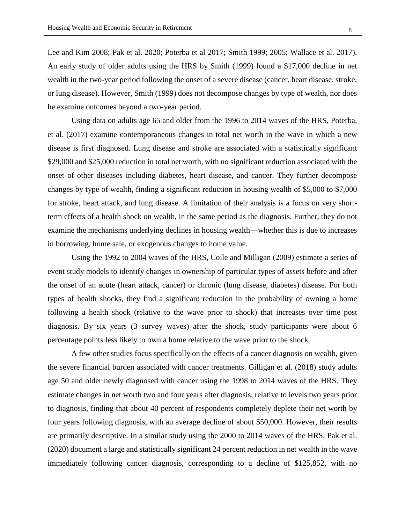Lee and Kim 2008; Pak et al. 2020; Poterba et al 2017; Smith 1999; 2005; Wallace et al. 2017). An early study of older adults using the HRS by Smith (1999) found a \$17,000 decline in net wealth in the two-year period following the onset of a severe disease (cancer, heart disease, stroke, or lung disease). However, Smith (1999) does not decompose changes by type of wealth, nor does he examine outcomes beyond a two-year period.

 Using data on adults age 65 and older from the 1996 to 2014 waves of the HRS, Poterba, et al. (2017) examine contemporaneous changes in total net worth in the wave in which a new disease is first diagnosed. Lung disease and stroke are associated with a statistically significant \$29,000 and \$25,000 reduction in total net worth, with no significant reduction associated with the onset of other diseases including diabetes, heart disease, and cancer. They further decompose changes by type of wealth, finding a significant reduction in housing wealth of \$5,000 to \$7,000 for stroke, heart attack, and lung disease. A limitation of their analysis is a focus on very shortterm effects of a health shock on wealth, in the same period as the diagnosis. Further, they do not examine the mechanisms underlying declines in housing wealth—whether this is due to increases in borrowing, home sale, or exogenous changes to home value.

Using the 1992 to 2004 waves of the HRS, Coile and Milligan (2009) estimate a series of event study models to identify changes in ownership of particular types of assets before and after the onset of an acute (heart attack, cancer) or chronic (lung disease, diabetes) disease. For both types of health shocks, they find a significant reduction in the probability of owning a home following a health shock (relative to the wave prior to shock) that increases over time post diagnosis. By six years (3 survey waves) after the shock, study participants were about 6 percentage points less likely to own a home relative to the wave prior to the shock.

A few other studies focus specifically on the effects of a cancer diagnosis on wealth, given the severe financial burden associated with cancer treatments. Gilligan et al. (2018) study adults age 50 and older newly diagnosed with cancer using the 1998 to 2014 waves of the HRS. They estimate changes in net worth two and four years after diagnosis, relative to levels two years prior to diagnosis, finding that about 40 percent of respondents completely deplete their net worth by four years following diagnosis, with an average decline of about \$50,000. However, their results are primarily descriptive. In a similar study using the 2000 to 2014 waves of the HRS, Pak et al. (2020) document a large and statistically significant 24 percent reduction in net wealth in the wave immediately following cancer diagnosis, corresponding to a decline of \$125,852, with no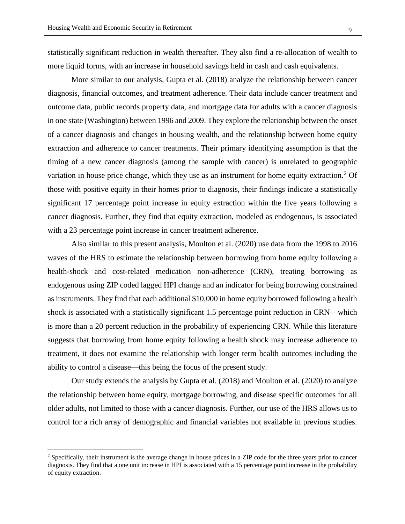statistically significant reduction in wealth thereafter. They also find a re-allocation of wealth to more liquid forms, with an increase in household savings held in cash and cash equivalents.

More similar to our analysis, Gupta et al. (2018) analyze the relationship between cancer diagnosis, financial outcomes, and treatment adherence. Their data include cancer treatment and outcome data, public records property data, and mortgage data for adults with a cancer diagnosis in one state (Washington) between 1996 and 2009. They explore the relationship between the onset of a cancer diagnosis and changes in housing wealth, and the relationship between home equity extraction and adherence to cancer treatments. Their primary identifying assumption is that the timing of a new cancer diagnosis (among the sample with cancer) is unrelated to geographic variation in house price change, which they use as an instrument for home equity extraction.<sup>[2](#page-8-0)</sup> Of those with positive equity in their homes prior to diagnosis, their findings indicate a statistically significant 17 percentage point increase in equity extraction within the five years following a cancer diagnosis. Further, they find that equity extraction, modeled as endogenous, is associated with a 23 percentage point increase in cancer treatment adherence.

Also similar to this present analysis, Moulton et al. (2020) use data from the 1998 to 2016 waves of the HRS to estimate the relationship between borrowing from home equity following a health-shock and cost-related medication non-adherence (CRN), treating borrowing as endogenous using ZIP coded lagged HPI change and an indicator for being borrowing constrained as instruments. They find that each additional \$10,000 in home equity borrowed following a health shock is associated with a statistically significant 1.5 percentage point reduction in CRN—which is more than a 20 percent reduction in the probability of experiencing CRN. While this literature suggests that borrowing from home equity following a health shock may increase adherence to treatment, it does not examine the relationship with longer term health outcomes including the ability to control a disease—this being the focus of the present study.

Our study extends the analysis by Gupta et al. (2018) and Moulton et al. (2020) to analyze the relationship between home equity, mortgage borrowing, and disease specific outcomes for all older adults, not limited to those with a cancer diagnosis. Further, our use of the HRS allows us to control for a rich array of demographic and financial variables not available in previous studies.

<span id="page-8-0"></span><sup>&</sup>lt;sup>2</sup> Specifically, their instrument is the average change in house prices in a ZIP code for the three years prior to cancer diagnosis. They find that a one unit increase in HPI is associated with a 15 percentage point increase in the probability of equity extraction.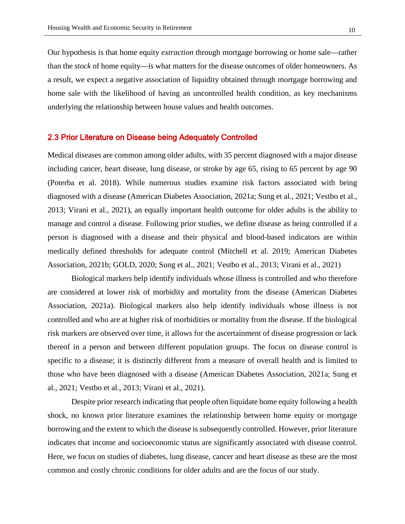Our hypothesis is that home equity *extraction* through mortgage borrowing or home sale—rather than the *stock* of home equity—is what matters for the disease outcomes of older homeowners. As a result, we expect a negative association of liquidity obtained through mortgage borrowing and home sale with the likelihood of having an uncontrolled health condition, as key mechanisms underlying the relationship between house values and health outcomes.

### 2.3 Prior Literature on Disease being Adequately Controlled

Medical diseases are common among older adults, with 35 percent diagnosed with a major disease including cancer, heart disease, lung disease, or stroke by age 65, rising to 65 percent by age 90 (Poterba et al. 2018). While numerous studies examine risk factors associated with being diagnosed with a disease (American Diabetes Association, 2021a; Sung et al., 2021; Vestbo et al., 2013; Virani et al., 2021), an equally important health outcome for older adults is the ability to manage and control a disease. Following prior studies, we define disease as being controlled if a person is diagnosed with a disease and their physical and blood-based indicators are within medically defined thresholds for adequate control (Mitchell et al. 2019; American Diabetes Association, 2021b; GOLD, 2020; Sung et al., 2021; Vestbo et al., 2013; Virani et al., 2021)

 Biological markers help identify individuals whose illness is controlled and who therefore are considered at lower risk of morbidity and mortality from the disease (American Diabetes Association, 2021a). Biological markers also help identify individuals whose illness is not controlled and who are at higher risk of morbidities or mortality from the disease. If the biological risk markers are observed over time, it allows for the ascertainment of disease progression or lack thereof in a person and between different population groups. The focus on disease control is specific to a disease; it is distinctly different from a measure of overall health and is limited to those who have been diagnosed with a disease (American Diabetes Association, 2021a; Sung et al., 2021; Vestbo et al., 2013; Virani et al., 2021).

Despite prior research indicating that people often liquidate home equity following a health shock, no known prior literature examines the relationship between home equity or mortgage borrowing and the extent to which the disease is subsequently controlled. However, prior literature indicates that income and socioeconomic status are significantly associated with disease control. Here, we focus on studies of diabetes, lung disease, cancer and heart disease as these are the most common and costly chronic conditions for older adults and are the focus of our study.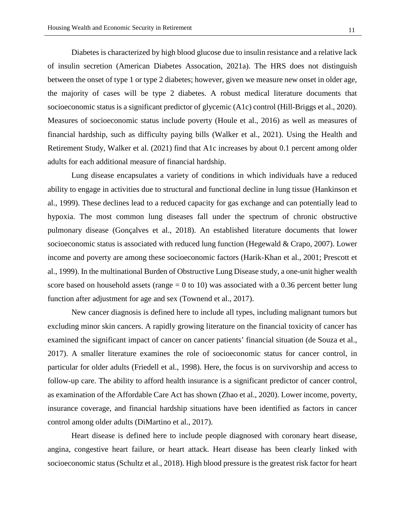Diabetes is characterized by high blood glucose due to insulin resistance and a relative lack of insulin secretion (American Diabetes Assocation, 2021a). The HRS does not distinguish between the onset of type 1 or type 2 diabetes; however, given we measure new onset in older age, the majority of cases will be type 2 diabetes. A robust medical literature documents that socioeconomic status is a significant predictor of glycemic (A1c) control (Hill-Briggs et al., 2020). Measures of socioeconomic status include poverty (Houle et al., 2016) as well as measures of financial hardship, such as difficulty paying bills (Walker et al., 2021). Using the Health and Retirement Study, Walker et al. (2021) find that A1c increases by about 0.1 percent among older adults for each additional measure of financial hardship.

Lung disease encapsulates a variety of conditions in which individuals have a reduced ability to engage in activities due to structural and functional decline in lung tissue (Hankinson et al., 1999). These declines lead to a reduced capacity for gas exchange and can potentially lead to hypoxia. The most common lung diseases fall under the spectrum of chronic obstructive pulmonary disease (Gonçalves et al., 2018). An established literature documents that lower socioeconomic status is associated with reduced lung function (Hegewald & Crapo, 2007). Lower income and poverty are among these socioeconomic factors (Harik-Khan et al., 2001; Prescott et al., 1999). In the multinational Burden of Obstructive Lung Disease study, a one-unit higher wealth score based on household assets (range  $= 0$  to 10) was associated with a 0.36 percent better lung function after adjustment for age and sex (Townend et al., 2017).

 New cancer diagnosis is defined here to include all types, including malignant tumors but excluding minor skin cancers. A rapidly growing literature on the financial toxicity of cancer has examined the significant impact of cancer on cancer patients' financial situation (de Souza et al., 2017). A smaller literature examines the role of socioeconomic status for cancer control, in particular for older adults (Friedell et al., 1998). Here, the focus is on survivorship and access to follow-up care. The ability to afford health insurance is a significant predictor of cancer control, as examination of the Affordable Care Act has shown (Zhao et al., 2020). Lower income, poverty, insurance coverage, and financial hardship situations have been identified as factors in cancer control among older adults (DiMartino et al., 2017).

Heart disease is defined here to include people diagnosed with coronary heart disease, angina, congestive heart failure, or heart attack. Heart disease has been clearly linked with socioeconomic status (Schultz et al., 2018). High blood pressure is the greatest risk factor for heart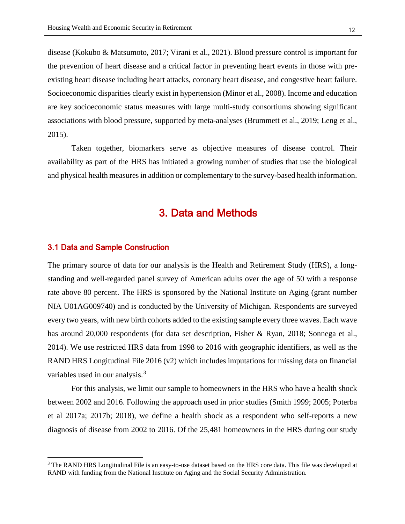disease (Kokubo & Matsumoto, 2017; Virani et al., 2021). Blood pressure control is important for the prevention of heart disease and a critical factor in preventing heart events in those with preexisting heart disease including heart attacks, coronary heart disease, and congestive heart failure. Socioeconomic disparities clearly exist in hypertension (Minor et al., 2008). Income and education are key socioeconomic status measures with large multi-study consortiums showing significant associations with blood pressure, supported by meta-analyses (Brummett et al., 2019; Leng et al., 2015).

Taken together, biomarkers serve as objective measures of disease control. Their availability as part of the HRS has initiated a growing number of studies that use the biological and physical health measures in addition or complementary to the survey-based health information.

## 3. Data and Methods

### 3.1 Data and Sample Construction

 $\overline{a}$ 

The primary source of data for our analysis is the Health and Retirement Study (HRS), a longstanding and well-regarded panel survey of American adults over the age of 50 with a response rate above 80 percent. The HRS is sponsored by the National Institute on Aging (grant number NIA U01AG009740) and is conducted by the University of Michigan. Respondents are surveyed every two years, with new birth cohorts added to the existing sample every three waves. Each wave has around 20,000 respondents (for data set description, Fisher & Ryan, 2018; Sonnega et al., 2014). We use restricted HRS data from 1998 to 2016 with geographic identifiers, as well as the RAND HRS Longitudinal File  $2016 \times 2$  which includes imputations for missing data on financial variables used in our analysis.<sup>[3](#page-11-0)</sup>

For this analysis, we limit our sample to homeowners in the HRS who have a health shock between 2002 and 2016. Following the approach used in prior studies (Smith 1999; 2005; Poterba et al 2017a; 2017b; 2018), we define a health shock as a respondent who self-reports a new diagnosis of disease from 2002 to 2016. Of the 25,481 homeowners in the HRS during our study

<span id="page-11-0"></span><sup>&</sup>lt;sup>3</sup> The RAND HRS Longitudinal File is an easy-to-use dataset based on the HRS core data. This file was developed at RAND with funding from the National Institute on Aging and the Social Security Administration.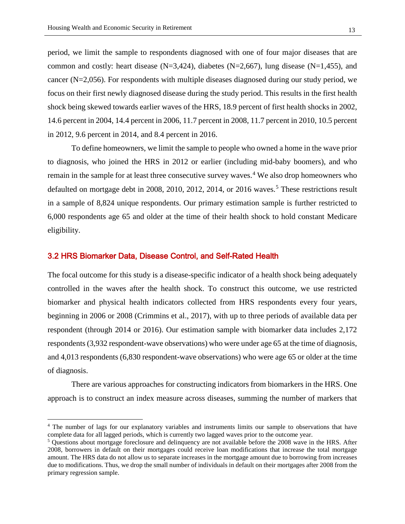period, we limit the sample to respondents diagnosed with one of four major diseases that are common and costly: heart disease  $(N=3,424)$ , diabetes  $(N=2,667)$ , lung disease  $(N=1,455)$ , and cancer (N=2,056). For respondents with multiple diseases diagnosed during our study period, we focus on their first newly diagnosed disease during the study period. This results in the first health shock being skewed towards earlier waves of the HRS, 18.9 percent of first health shocks in 2002, 14.6 percent in 2004, 14.4 percent in 2006, 11.7 percent in 2008, 11.7 percent in 2010, 10.5 percent in 2012, 9.6 percent in 2014, and 8.4 percent in 2016.

To define homeowners, we limit the sample to people who owned a home in the wave prior to diagnosis, who joined the HRS in 2012 or earlier (including mid-baby boomers), and who remain in the sample for at least three consecutive survey waves.<sup>[4](#page-12-0)</sup> We also drop homeowners who defaulted on mortgage debt in 2008, 2010, 2012, 2014, or 2016 waves.<sup>[5](#page-12-1)</sup> These restrictions result in a sample of 8,824 unique respondents. Our primary estimation sample is further restricted to 6,000 respondents age 65 and older at the time of their health shock to hold constant Medicare eligibility.

## 3.2 HRS Biomarker Data, Disease Control, and Self-Rated Health

 $\overline{a}$ 

The focal outcome for this study is a disease-specific indicator of a health shock being adequately controlled in the waves after the health shock. To construct this outcome, we use restricted biomarker and physical health indicators collected from HRS respondents every four years, beginning in 2006 or 2008 (Crimmins et al., 2017), with up to three periods of available data per respondent (through 2014 or 2016). Our estimation sample with biomarker data includes 2,172 respondents (3,932 respondent-wave observations) who were under age 65 at the time of diagnosis, and 4,013 respondents (6,830 respondent-wave observations) who were age 65 or older at the time of diagnosis.

There are various approaches for constructing indicators from biomarkers in the HRS. One approach is to construct an index measure across diseases, summing the number of markers that

<span id="page-12-0"></span><sup>4</sup> The number of lags for our explanatory variables and instruments limits our sample to observations that have complete data for all lagged periods, which is currently two lagged waves prior to the outcome year. 5 Questions about mortgage foreclosure and delinquency are not available before the 2008 wave in the HRS. After

<span id="page-12-1"></span><sup>2008,</sup> borrowers in default on their mortgages could receive loan modifications that increase the total mortgage amount. The HRS data do not allow us to separate increases in the mortgage amount due to borrowing from increases due to modifications. Thus, we drop the small number of individuals in default on their mortgages after 2008 from the primary regression sample.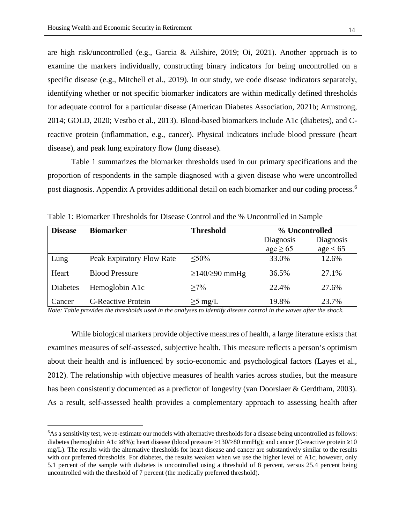are high risk/uncontrolled (e.g., Garcia & Ailshire, 2019; Oi, 2021). Another approach is to examine the markers individually, constructing binary indicators for being uncontrolled on a specific disease (e.g., Mitchell et al., 2019). In our study, we code disease indicators separately, identifying whether or not specific biomarker indicators are within medically defined thresholds for adequate control for a particular disease (American Diabetes Association, 2021b; Armstrong, 2014; GOLD, 2020; Vestbo et al., 2013). Blood-based biomarkers include A1c (diabetes), and Creactive protein (inflammation, e.g., cancer). Physical indicators include blood pressure (heart disease), and peak lung expiratory flow (lung disease).

Table 1 summarizes the biomarker thresholds used in our primary specifications and the proportion of respondents in the sample diagnosed with a given disease who were uncontrolled post diagnosis. Appendix A provides additional detail on each biomarker and our coding process.<sup>[6](#page-13-0)</sup>

| <b>Disease</b> | <b>Biomarker</b>          | <b>Threshold</b>           | % Uncontrolled |           |
|----------------|---------------------------|----------------------------|----------------|-----------|
|                |                           |                            | Diagnosis      | Diagnosis |
|                |                           |                            | $age \geq 65$  | age < 65  |
| Lung           | Peak Expiratory Flow Rate | $< 50\%$                   | 33.0%          | 12.6%     |
| Heart          | <b>Blood Pressure</b>     | $\geq$ 140/ $\geq$ 90 mmHg | 36.5%          | 27.1%     |
| Diabetes       | Hemoglobin A1c            | $>7\%$                     | 22.4%          | 27.6%     |
| Cancer         | <b>C-Reactive Protein</b> | $\geq$ 5 mg/L              | 19.8%          | 23.7%     |

Table 1: Biomarker Thresholds for Disease Control and the % Uncontrolled in Sample

*Note: Table provides the thresholds used in the analyses to identify disease control in the waves after the shock.*

While biological markers provide objective measures of health, a large literature exists that examines measures of self-assessed, subjective health. This measure reflects a person's optimism about their health and is influenced by socio-economic and psychological factors (Layes et al., 2012). The relationship with objective measures of health varies across studies, but the measure has been consistently documented as a predictor of longevity (van Doorslaer & Gerdtham, 2003). As a result, self-assessed health provides a complementary approach to assessing health after

<span id="page-13-0"></span><sup>6</sup> As a sensitivity test, we re-estimate our models with alternative thresholds for a disease being uncontrolled as follows: diabetes (hemoglobin A1c ≥8%); heart disease (blood pressure ≥130/≥80 mmHg); and cancer (C-reactive protein ≥10 mg/L). The results with the alternative thresholds for heart disease and cancer are substantively similar to the results with our preferred thresholds. For diabetes, the results weaken when we use the higher level of A1c; however, only 5.1 percent of the sample with diabetes is uncontrolled using a threshold of 8 percent, versus 25.4 percent being uncontrolled with the threshold of 7 percent (the medically preferred threshold).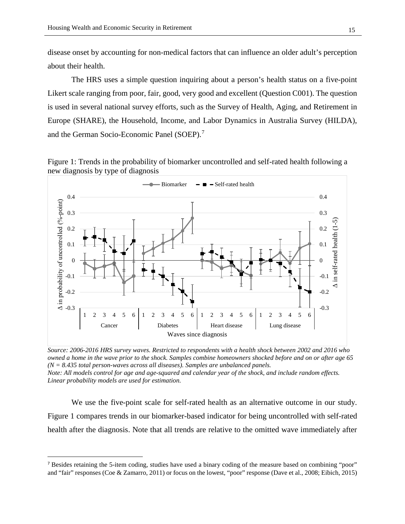disease onset by accounting for non-medical factors that can influence an older adult's perception about their health.

The HRS uses a simple question inquiring about a person's health status on a five-point Likert scale ranging from poor, fair, good, very good and excellent (Question C001). The question is used in several national survey efforts, such as the Survey of Health, Aging, and Retirement in Europe (SHARE), the Household, Income, and Labor Dynamics in Australia Survey (HILDA), and the German Socio-Economic Panel (SOEP).<sup>[7](#page-14-0)</sup>

Figure 1: Trends in the probability of biomarker uncontrolled and self-rated health following a new diagnosis by type of diagnosis



*Source: 2006-2016 HRS survey waves. Restricted to respondents with a health shock between 2002 and 2016 who owned a home in the wave prior to the shock. Samples combine homeowners shocked before and on or after age 65 (N = 8.435 total person-waves across all diseases). Samples are unbalanced panels. Note: All models control for age and age-squared and calendar year of the shock, and include random effects. Linear probability models are used for estimation.*

 We use the five-point scale for self-rated health as an alternative outcome in our study. Figure 1 compares trends in our biomarker-based indicator for being uncontrolled with self-rated health after the diagnosis. Note that all trends are relative to the omitted wave immediately after

<span id="page-14-0"></span><sup>7</sup> Besides retaining the 5-item coding, studies have used a binary coding of the measure based on combining "poor" and "fair" responses (Coe & Zamarro, 2011) or focus on the lowest, "poor" response (Dave et al., 2008; Eibich, 2015)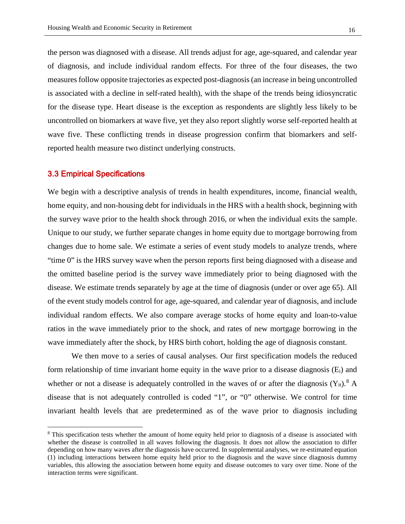the person was diagnosed with a disease. All trends adjust for age, age-squared, and calendar year of diagnosis, and include individual random effects. For three of the four diseases, the two measures follow opposite trajectories as expected post-diagnosis (an increase in being uncontrolled is associated with a decline in self-rated health), with the shape of the trends being idiosyncratic for the disease type. Heart disease is the exception as respondents are slightly less likely to be uncontrolled on biomarkers at wave five, yet they also report slightly worse self-reported health at wave five. These conflicting trends in disease progression confirm that biomarkers and selfreported health measure two distinct underlying constructs.

#### 3.3 Empirical Specifications

 $\overline{a}$ 

We begin with a descriptive analysis of trends in health expenditures, income, financial wealth, home equity, and non-housing debt for individuals in the HRS with a health shock, beginning with the survey wave prior to the health shock through 2016, or when the individual exits the sample. Unique to our study, we further separate changes in home equity due to mortgage borrowing from changes due to home sale. We estimate a series of event study models to analyze trends, where "time 0" is the HRS survey wave when the person reports first being diagnosed with a disease and the omitted baseline period is the survey wave immediately prior to being diagnosed with the disease. We estimate trends separately by age at the time of diagnosis (under or over age 65). All of the event study models control for age, age-squared, and calendar year of diagnosis, and include individual random effects. We also compare average stocks of home equity and loan-to-value ratios in the wave immediately prior to the shock, and rates of new mortgage borrowing in the wave immediately after the shock, by HRS birth cohort, holding the age of diagnosis constant.

We then move to a series of causal analyses. Our first specification models the reduced form relationship of time invariant home equity in the wave prior to a disease diagnosis (Ei) and whether or not a disease is adequately controlled in the waves of or after the diagnosis  $(Y_{it})$ .<sup>[8](#page-15-0)</sup> A disease that is not adequately controlled is coded "1", or "0" otherwise. We control for time invariant health levels that are predetermined as of the wave prior to diagnosis including

<span id="page-15-0"></span><sup>&</sup>lt;sup>8</sup> This specification tests whether the amount of home equity held prior to diagnosis of a disease is associated with whether the disease is controlled in all waves following the diagnosis. It does not allow the association to differ depending on how many waves after the diagnosis have occurred. In supplemental analyses, we re-estimated equation (1) including interactions between home equity held prior to the diagnosis and the wave since diagnosis dummy variables, this allowing the association between home equity and disease outcomes to vary over time. None of the interaction terms were significant.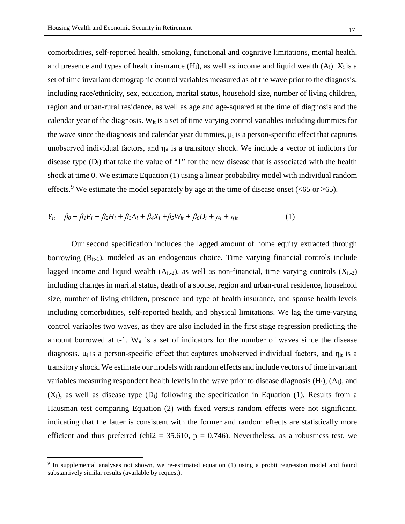comorbidities, self-reported health, smoking, functional and cognitive limitations, mental health, and presence and types of health insurance  $(H_i)$ , as well as income and liquid wealth  $(A_i)$ .  $X_i$  is a set of time invariant demographic control variables measured as of the wave prior to the diagnosis, including race/ethnicity, sex, education, marital status, household size, number of living children, region and urban-rural residence, as well as age and age-squared at the time of diagnosis and the calendar year of the diagnosis.  $W_{it}$  is a set of time varying control variables including dummies for the wave since the diagnosis and calendar year dummies,  $\mu_i$  is a person-specific effect that captures unobserved individual factors, and  $\eta_{it}$  is a transitory shock. We include a vector of indictors for disease type  $(D_i)$  that take the value of "1" for the new disease that is associated with the health shock at time 0. We estimate Equation (1) using a linear probability model with individual random effects.<sup>[9](#page-16-0)</sup> We estimate the model separately by age at the time of disease onset (<65 or  $\geq$ 65).

$$
Y_{it} = \beta_0 + \beta_1 E_i + \beta_2 H_i + \beta_3 A_i + \beta_4 X_i + \beta_5 W_{it} + \beta_6 D_i + \mu_i + \eta_{it}
$$
\n(1)

Our second specification includes the lagged amount of home equity extracted through borrowing  $(B_{it-1})$ , modeled as an endogenous choice. Time varying financial controls include lagged income and liquid wealth  $(A_{it-2})$ , as well as non-financial, time varying controls  $(X_{it-2})$ including changes in marital status, death of a spouse, region and urban-rural residence, household size, number of living children, presence and type of health insurance, and spouse health levels including comorbidities, self-reported health, and physical limitations. We lag the time-varying control variables two waves, as they are also included in the first stage regression predicting the amount borrowed at t-1.  $W_{it}$  is a set of indicators for the number of waves since the disease diagnosis,  $\mu_i$  is a person-specific effect that captures unobserved individual factors, and  $\eta_{it}$  is a transitory shock. We estimate our models with random effects and include vectors of time invariant variables measuring respondent health levels in the wave prior to disease diagnosis  $(H<sub>i</sub>)$ ,  $(A<sub>i</sub>)$ , and  $(X_i)$ , as well as disease type  $(D_i)$  following the specification in Equation (1). Results from a Hausman test comparing Equation (2) with fixed versus random effects were not significant, indicating that the latter is consistent with the former and random effects are statistically more efficient and thus preferred (chi2 = 35.610,  $p = 0.746$ ). Nevertheless, as a robustness test, we

 $\overline{a}$ 

<span id="page-16-0"></span><sup>9</sup> In supplemental analyses not shown, we re-estimated equation (1) using a probit regression model and found substantively similar results (available by request).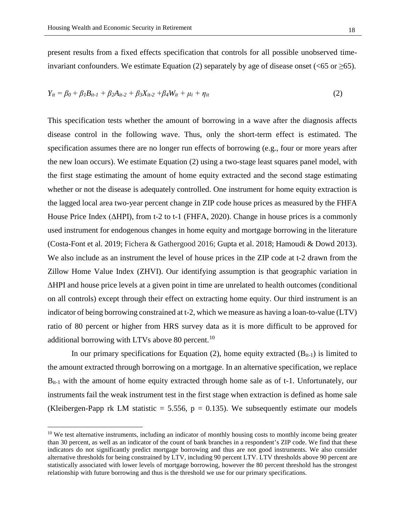present results from a fixed effects specification that controls for all possible unobserved timeinvariant confounders. We estimate Equation (2) separately by age of disease onset ( $\leq 65$  or  $\geq 65$ ).

$$
Y_{it} = \beta_0 + \beta_1 B_{it-1} + \beta_2 A_{it-2} + \beta_3 X_{it-2} + \beta_4 W_{it} + \mu_i + \eta_{it}
$$
 (2)

This specification tests whether the amount of borrowing in a wave after the diagnosis affects disease control in the following wave. Thus, only the short-term effect is estimated. The specification assumes there are no longer run effects of borrowing (e.g., four or more years after the new loan occurs). We estimate Equation (2) using a two-stage least squares panel model, with the first stage estimating the amount of home equity extracted and the second stage estimating whether or not the disease is adequately controlled. One instrument for home equity extraction is the lagged local area two-year percent change in ZIP code house prices as measured by the FHFA House Price Index (ΔHPI), from t-2 to t-1 (FHFA, 2020). Change in house prices is a commonly used instrument for endogenous changes in home equity and mortgage borrowing in the literature (Costa-Font et al. 2019; Fichera & Gathergood 2016; Gupta et al. 2018; Hamoudi & Dowd 2013). We also include as an instrument the level of house prices in the ZIP code at t-2 drawn from the Zillow Home Value Index (ZHVI). Our identifying assumption is that geographic variation in ΔHPI and house price levels at a given point in time are unrelated to health outcomes (conditional on all controls) except through their effect on extracting home equity. Our third instrument is an indicator of being borrowing constrained at t-2, which we measure as having a loan-to-value (LTV) ratio of 80 percent or higher from HRS survey data as it is more difficult to be approved for additional borrowing with LTVs above 80 percent.<sup>[10](#page-17-0)</sup>

In our primary specifications for Equation (2), home equity extracted  $(B_{it-1})$  is limited to the amount extracted through borrowing on a mortgage. In an alternative specification, we replace  $B_{it-1}$  with the amount of home equity extracted through home sale as of t-1. Unfortunately, our instruments fail the weak instrument test in the first stage when extraction is defined as home sale (Kleibergen-Papp rk LM statistic = 5.556,  $p = 0.135$ ). We subsequently estimate our models

<span id="page-17-0"></span> $10$  We test alternative instruments, including an indicator of monthly housing costs to monthly income being greater than 30 percent, as well as an indicator of the count of bank branches in a respondent's ZIP code. We find that these indicators do not significantly predict mortgage borrowing and thus are not good instruments. We also consider alternative thresholds for being constrained by LTV, including 90 percent LTV. LTV thresholds above 90 percent are statistically associated with lower levels of mortgage borrowing, however the 80 percent threshold has the strongest relationship with future borrowing and thus is the threshold we use for our primary specifications.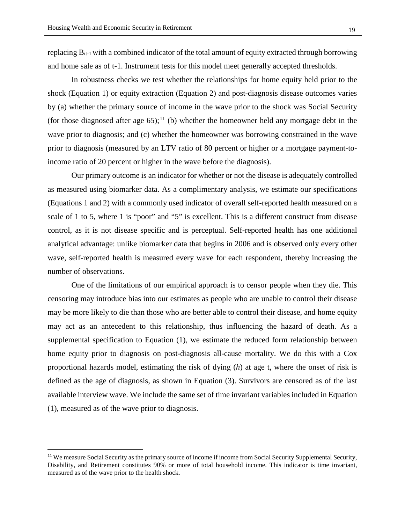replacing  $B_{it-1}$  with a combined indicator of the total amount of equity extracted through borrowing and home sale as of t-1. Instrument tests for this model meet generally accepted thresholds.

In robustness checks we test whether the relationships for home equity held prior to the shock (Equation 1) or equity extraction (Equation 2) and post-diagnosis disease outcomes varies by (a) whether the primary source of income in the wave prior to the shock was Social Security (for those diagnosed after age 65);<sup>[11](#page-18-0)</sup> (b) whether the homeowner held any mortgage debt in the wave prior to diagnosis; and (c) whether the homeowner was borrowing constrained in the wave prior to diagnosis (measured by an LTV ratio of 80 percent or higher or a mortgage payment-toincome ratio of 20 percent or higher in the wave before the diagnosis).

Our primary outcome is an indicator for whether or not the disease is adequately controlled as measured using biomarker data. As a complimentary analysis, we estimate our specifications (Equations 1 and 2) with a commonly used indicator of overall self-reported health measured on a scale of 1 to 5, where 1 is "poor" and "5" is excellent. This is a different construct from disease control, as it is not disease specific and is perceptual. Self-reported health has one additional analytical advantage: unlike biomarker data that begins in 2006 and is observed only every other wave, self-reported health is measured every wave for each respondent, thereby increasing the number of observations.

One of the limitations of our empirical approach is to censor people when they die. This censoring may introduce bias into our estimates as people who are unable to control their disease may be more likely to die than those who are better able to control their disease, and home equity may act as an antecedent to this relationship, thus influencing the hazard of death. As a supplemental specification to Equation (1), we estimate the reduced form relationship between home equity prior to diagnosis on post-diagnosis all-cause mortality. We do this with a Cox proportional hazards model, estimating the risk of dying (*h*) at age t, where the onset of risk is defined as the age of diagnosis, as shown in Equation (3). Survivors are censored as of the last available interview wave. We include the same set of time invariant variables included in Equation (1), measured as of the wave prior to diagnosis.

<span id="page-18-0"></span><sup>&</sup>lt;sup>11</sup> We measure Social Security as the primary source of income if income from Social Security Supplemental Security, Disability, and Retirement constitutes 90% or more of total household income. This indicator is time invariant, measured as of the wave prior to the health shock.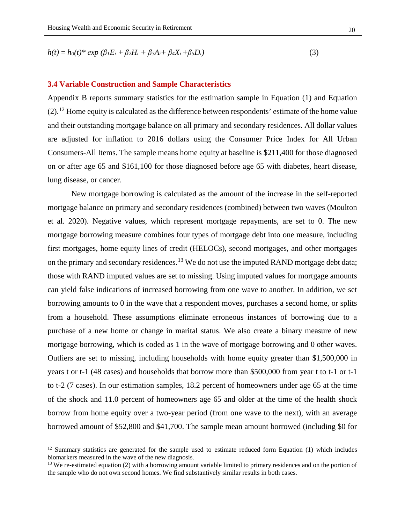$$
h(t) = h_0(t)^* \exp (\beta_1 E_i + \beta_2 H_i + \beta_3 A_i + \beta_4 X_i + \beta_5 D_i)
$$
\n(3)

#### **3.4 Variable Construction and Sample Characteristics**

Appendix B reports summary statistics for the estimation sample in Equation (1) and Equation  $(2)$ .<sup>[12](#page-19-0)</sup> Home equity is calculated as the difference between respondents' estimate of the home value and their outstanding mortgage balance on all primary and secondary residences. All dollar values are adjusted for inflation to 2016 dollars using the Consumer Price Index for All Urban Consumers-All Items. The sample means home equity at baseline is \$211,400 for those diagnosed on or after age 65 and \$161,100 for those diagnosed before age 65 with diabetes, heart disease, lung disease, or cancer.

New mortgage borrowing is calculated as the amount of the increase in the self-reported mortgage balance on primary and secondary residences (combined) between two waves (Moulton et al. 2020). Negative values, which represent mortgage repayments, are set to 0. The new mortgage borrowing measure combines four types of mortgage debt into one measure, including first mortgages, home equity lines of credit (HELOCs), second mortgages, and other mortgages on the primary and secondary residences.<sup>[13](#page-19-1)</sup> We do not use the imputed RAND mortgage debt data; those with RAND imputed values are set to missing. Using imputed values for mortgage amounts can yield false indications of increased borrowing from one wave to another. In addition, we set borrowing amounts to 0 in the wave that a respondent moves, purchases a second home, or splits from a household. These assumptions eliminate erroneous instances of borrowing due to a purchase of a new home or change in marital status. We also create a binary measure of new mortgage borrowing, which is coded as 1 in the wave of mortgage borrowing and 0 other waves. Outliers are set to missing, including households with home equity greater than \$1,500,000 in years t or t-1 (48 cases) and households that borrow more than \$500,000 from year t to t-1 or t-1 to t-2 (7 cases). In our estimation samples, 18.2 percent of homeowners under age 65 at the time of the shock and 11.0 percent of homeowners age 65 and older at the time of the health shock borrow from home equity over a two-year period (from one wave to the next), with an average borrowed amount of \$52,800 and \$41,700. The sample mean amount borrowed (including \$0 for

<span id="page-19-0"></span> $12$  Summary statistics are generated for the sample used to estimate reduced form Equation (1) which includes biomarkers measured in the wave of the new diagnosis.

<span id="page-19-1"></span><sup>&</sup>lt;sup>13</sup> We re-estimated equation (2) with a borrowing amount variable limited to primary residences and on the portion of the sample who do not own second homes. We find substantively similar results in both cases.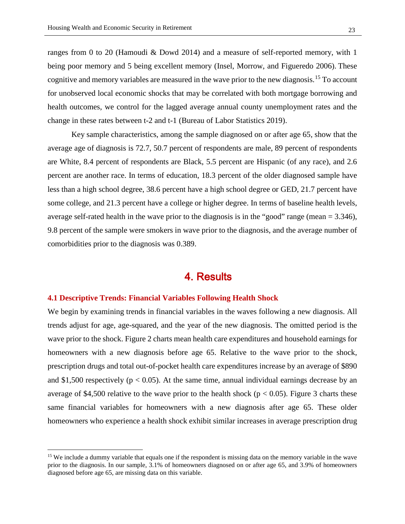ranges from 0 to 20 (Hamoudi & Dowd 2014) and a measure of self-reported memory, with 1 being poor memory and 5 being excellent memory (Insel, Morrow, and Figueredo 2006). These cognitive and memory variables are measured in the wave prior to the new diagnosis.<sup>[15](#page-22-0)</sup> To account for unobserved local economic shocks that may be correlated with both mortgage borrowing and health outcomes, we control for the lagged average annual county unemployment rates and the change in these rates between t-2 and t-1 (Bureau of Labor Statistics 2019).

Key sample characteristics, among the sample diagnosed on or after age 65, show that the average age of diagnosis is 72.7, 50.7 percent of respondents are male, 89 percent of respondents are White, 8.4 percent of respondents are Black, 5.5 percent are Hispanic (of any race), and 2.6 percent are another race. In terms of education, 18.3 percent of the older diagnosed sample have less than a high school degree, 38.6 percent have a high school degree or GED, 21.7 percent have some college, and 21.3 percent have a college or higher degree. In terms of baseline health levels, average self-rated health in the wave prior to the diagnosis is in the "good" range (mean = 3.346), 9.8 percent of the sample were smokers in wave prior to the diagnosis, and the average number of comorbidities prior to the diagnosis was 0.389.

## 4. Results

#### **4.1 Descriptive Trends: Financial Variables Following Health Shock**

 $\overline{a}$ 

We begin by examining trends in financial variables in the waves following a new diagnosis. All trends adjust for age, age-squared, and the year of the new diagnosis. The omitted period is the wave prior to the shock. Figure 2 charts mean health care expenditures and household earnings for homeowners with a new diagnosis before age 65. Relative to the wave prior to the shock, prescription drugs and total out-of-pocket health care expenditures increase by an average of \$890 and \$1,500 respectively ( $p < 0.05$ ). At the same time, annual individual earnings decrease by an average of \$4,500 relative to the wave prior to the health shock ( $p < 0.05$ ). Figure 3 charts these same financial variables for homeowners with a new diagnosis after age 65. These older homeowners who experience a health shock exhibit similar increases in average prescription drug

<span id="page-22-0"></span><sup>&</sup>lt;sup>15</sup> We include a dummy variable that equals one if the respondent is missing data on the memory variable in the wave prior to the diagnosis. In our sample, 3.1% of homeowners diagnosed on or after age 65, and 3.9% of homeowners diagnosed before age 65, are missing data on this variable.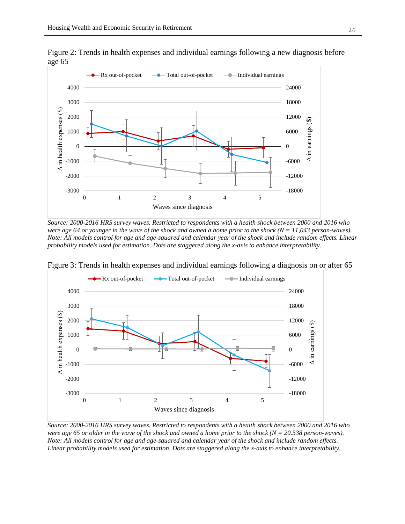are high risk/uncontrolled (e.g., Garcia & Ailshire, 2019; Oi, 2021). Another approach is to examine the markers individually, constructing binary indicators for being uncontrolled on a specific disease (e.g., Mitchell et al., 2019). In our study, we code disease indicators separately, identifying whether or not specific biomarker indicators are within medically defined thresholds for adequate control for a particular disease (American Diabetes Association, 2021b; Armstrong, 2014; GOLD, 2020; Vestbo et al., 2013). Blood-based biomarkers include A1c (diabetes), and Creactive protein (inflammation, e.g., cancer). Physical indicators include blood pressure (heart disease), and peak lung expiratory flow (lung disease).

Table 1 summarizes the biomarker thresholds used in our primary specifications and the proportion of respondents in the sample diagnosed with a given disease who were uncontrolled post diagnosis. Appendix A provides additional detail on each biomarker and our coding process.<sup>6</sup>

| <i>Disease</i> | <b>Biomarker</b>          | <b>Threshold</b> | % Uncontrolled |           |
|----------------|---------------------------|------------------|----------------|-----------|
|                |                           |                  | Diagnosis      | Diagnosis |
|                |                           |                  | $age \geq 65$  | age < 65  |
| Lung           | Peak Expiratory Flow Rate | $< 50\%$         | 33.0%          | 12.6%     |
| Heart          | <b>Blood Pressure</b>     | $t140/$ t90 mmHg | 36.5%          | 27.1%     |
| Diabetes       | Hemoglobin A1c            | $>7\%$           | 22.4%          | 27.6%     |
| Cancer         | <b>C-Reactive Protein</b> | $\geq$ 5 mg/L    | 19.8%          | 23.7%     |

Table 1: Biomarker Thresholds for Disease Control and the % Uncontrolled in Sample

Note: Table provides the thresholds used in the analyses to identify disease controlle waves after the shock.

While biological markers provide objective measures of health, a large literature exists that examines measures of self-assessed, subjective health. This measure reflects a person's optimism about their health and is influenced by socio-economic and psychological factors (Layes et al., 2012). The relationship with objective measures of health varies across studies, but the measure has been consistently documented as a predictor of longevity (van Doorslaer & Gerdtham, 2003). As a result, self-assessed health provides a complementary approach to assessing health after

<sup>&</sup>lt;sup>6</sup>As a sensitivity test, we re-estimate our models with alternative thresholds for a disease being uncontrolled as follows: diabetes (hemoglobin A1c  $H_0$ ); heart disease (blood pressure t130/t80 mmHg); and cancer (C-reactive protein  $H_0$ mg/L). The results with the alternative thresholds for heart disease and cancer are substantively similar to the results with our preferred thresholds. For diabetes, the results weaken when we use the higher level of A1c; however, only 5.1 percent of the sample with diabetes is uncontrolled using a threshold of 8 percent, versus 25.4 percent being uncontrolled with the threshold of 7 percent (the medically preferred threshold).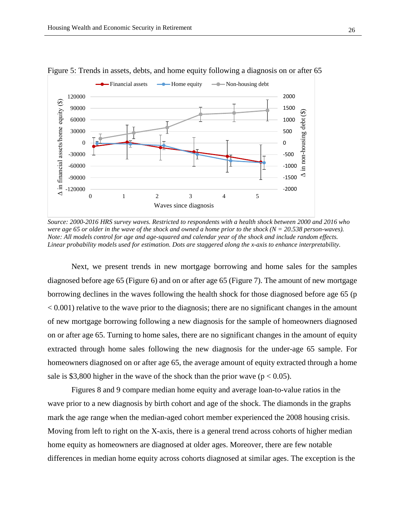

Figure 5: Trends in assets, debts, and home equity following a diagnosis on or after 65

*Source: 2000-2016 HRS survey waves. Restricted to respondents with a health shock between 2000 and 2016 who were age 65 or older in the wave of the shock and owned a home prior to the shock (N = 20.538 person-waves). Note: All models control for age and age-squared and calendar year of the shock and include random effects. Linear probability models used for estimation. Dots are staggered along the x-axis to enhance interpretability.*

Next, we present trends in new mortgage borrowing and home sales for the samples diagnosed before age 65 (Figure 6) and on or after age 65 (Figure 7). The amount of new mortgage borrowing declines in the waves following the health shock for those diagnosed before age 65 (p  $< 0.001$ ) relative to the wave prior to the diagnosis; there are no significant changes in the amount of new mortgage borrowing following a new diagnosis for the sample of homeowners diagnosed on or after age 65. Turning to home sales, there are no significant changes in the amount of equity extracted through home sales following the new diagnosis for the under-age 65 sample. For homeowners diagnosed on or after age 65, the average amount of equity extracted through a home sale is \$3,800 higher in the wave of the shock than the prior wave ( $p < 0.05$ ).

 Figures 8 and 9 compare median home equity and average loan-to-value ratios in the wave prior to a new diagnosis by birth cohort and age of the shock. The diamonds in the graphs mark the age range when the median-aged cohort member experienced the 2008 housing crisis. Moving from left to right on the X-axis, there is a general trend across cohorts of higher median home equity as homeowners are diagnosed at older ages. Moreover, there are few notable differences in median home equity across cohorts diagnosed at similar ages. The exception is the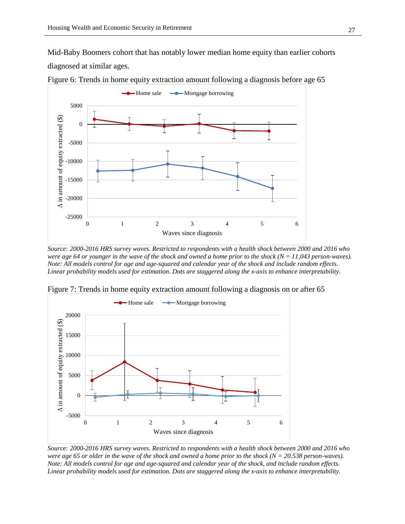Mid-Baby Boomers cohort that has notably lower median home equity than earlier cohorts diagnosed at similar ages.



Figure 6: Trends in home equity extraction amount following a diagnosis before age 65

*Source: 2000-2016 HRS survey waves. Restricted to respondents with a health shock between 2000 and 2016 who were age 64 or younger in the wave of the shock and owned a home prior to the shock (N = 11,043 person-waves). Note: All models control for age and age-squared and calendar year of the shock and include random effects. Linear probability models used for estimation. Dots are staggered along the x-axis to enhance interpretability.*



Figure 7: Trends in home equity extraction amount following a diagnosis on or after 65

*Source: 2000-2016 HRS survey waves. Restricted to respondents with a health shock between 2000 and 2016 who were age 65 or older in the wave of the shock and owned a home prior to the shock (N = 20.538 person-waves). Note: All models control for age and age-squared and calendar year of the shock, and include random effects. Linear probability models used for estimation. Dots are staggered along the x-axis to enhance interpretability.*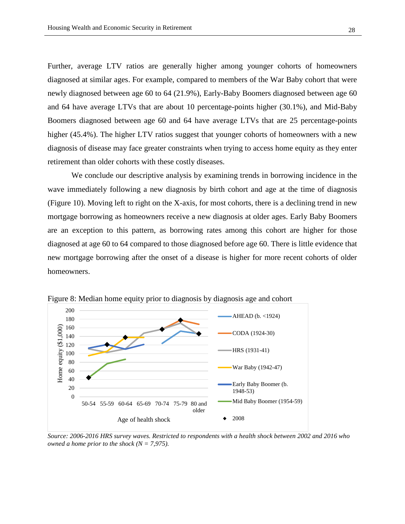Further, average LTV ratios are generally higher among younger cohorts of homeowners diagnosed at similar ages. For example, compared to members of the War Baby cohort that were newly diagnosed between age 60 to 64 (21.9%), Early-Baby Boomers diagnosed between age 60 and 64 have average LTVs that are about 10 percentage-points higher (30.1%), and Mid-Baby Boomers diagnosed between age 60 and 64 have average LTVs that are 25 percentage-points higher (45.4%). The higher LTV ratios suggest that younger cohorts of homeowners with a new diagnosis of disease may face greater constraints when trying to access home equity as they enter retirement than older cohorts with these costly diseases.

We conclude our descriptive analysis by examining trends in borrowing incidence in the wave immediately following a new diagnosis by birth cohort and age at the time of diagnosis (Figure 10). Moving left to right on the X-axis, for most cohorts, there is a declining trend in new mortgage borrowing as homeowners receive a new diagnosis at older ages. Early Baby Boomers are an exception to this pattern, as borrowing rates among this cohort are higher for those diagnosed at age 60 to 64 compared to those diagnosed before age 60. There is little evidence that new mortgage borrowing after the onset of a disease is higher for more recent cohorts of older homeowners.



Figure 8: Median home equity prior to diagnosis by diagnosis age and cohort

*Source: 2006-2016 HRS survey waves. Restricted to respondents with a health shock between 2002 and 2016 who owned a home prior to the shock (N = 7,975).*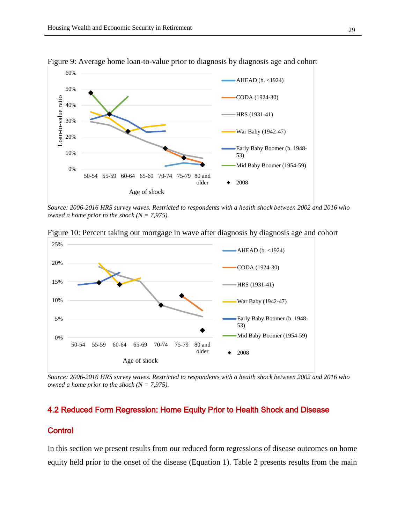

Figure 9: Average home loan-to-value prior to diagnosis by diagnosis age and cohort

*Source: 2006-2016 HRS survey waves. Restricted to respondents with a health shock between 2002 and 2016 who owned a home prior to the shock (N = 7,975).*



Figure 10: Percent taking out mortgage in wave after diagnosis by diagnosis age and cohort

*Source: 2006-2016 HRS survey waves. Restricted to respondents with a health shock between 2002 and 2016 who owned a home prior to the shock (N = 7,975).*

## 4.2 Reduced Form Regression: Home Equity Prior to Health Shock and Disease

### **Control**

In this section we present results from our reduced form regressions of disease outcomes on home equity held prior to the onset of the disease (Equation 1). Table 2 presents results from the main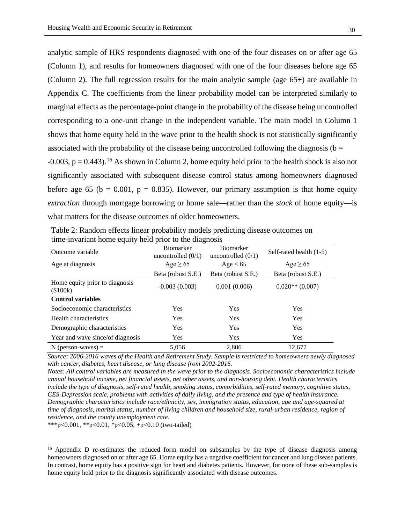analytic sample of HRS respondents diagnosed with one of the four diseases on or after age 65 (Column 1), and results for homeowners diagnosed with one of the four diseases before age 65 (Column 2). The full regression results for the main analytic sample (age 65+) are available in Appendix C. The coefficients from the linear probability model can be interpreted similarly to marginal effects as the percentage-point change in the probability of the disease being uncontrolled corresponding to a one-unit change in the independent variable. The main model in Column 1 shows that home equity held in the wave prior to the health shock is not statistically significantly associated with the probability of the disease being uncontrolled following the diagnosis ( $b =$  $-0.003$ ,  $p = 0.443$ ).<sup>[16](#page-29-0)</sup> As shown in Column 2, home equity held prior to the health shock is also not significantly associated with subsequent disease control status among homeowners diagnosed before age 65 (b = 0.001, p = 0.835). However, our primary assumption is that home equity *extraction* through mortgage borrowing or home sale—rather than the *stock* of home equity—is what matters for the disease outcomes of older homeowners.

|                                            | ັ                                        |                                          |                           |
|--------------------------------------------|------------------------------------------|------------------------------------------|---------------------------|
| Outcome variable                           | <b>Biomarker</b><br>uncontrolled $(0/1)$ | <b>Biomarker</b><br>uncontrolled $(0/1)$ | Self-rated health $(1-5)$ |
| Age at diagnosis                           | Age $\geq 65$                            | Age < 65                                 | Age $\geq 65$             |
|                                            | Beta (robust S.E.)                       | Beta (robust S.E.)                       | Beta (robust S.E.)        |
| Home equity prior to diagnosis<br>(\$100k) | $-0.003(0.003)$                          | 0.001(0.006)                             | $0.020**$ (0.007)         |
| <b>Control variables</b>                   |                                          |                                          |                           |
| Socioeconomic characteristics              | <b>Yes</b>                               | <b>Yes</b>                               | <b>Yes</b>                |
| Health characteristics                     | <b>Yes</b>                               | <b>Yes</b>                               | Yes                       |
| Demographic characteristics                | Yes                                      | Yes                                      | Yes                       |
| Year and wave since/of diagnosis           | <b>Yes</b>                               | Yes                                      | <b>Yes</b>                |
| $N$ (person-waves) =                       | 5.056                                    | 2.806                                    | 12,677                    |

Table 2: Random effects linear probability models predicting disease outcomes on time-invariant home equity held prior to the diagnosis

*Source: 2006-2016 waves of the Health and Retirement Study. Sample is restricted to homeowners newly diagnosed with cancer, diabetes, heart disease, or lung disease from 2002-2016.*

*Notes: All control variables are measured in the wave prior to the diagnosis. Socioeconomic characteristics include annual household income, net financial assets, net other assets, and non-housing debt. Health characteristics include the type of diagnosis, self-rated health, smoking status, comorbidities, self-rated memory, cognitive status, CES-Depression scale, problems with activities of daily living, and the presence and type of health insurance. Demographic characteristics include race/ethnicity, sex, immigration status, education, age and age-squared at time of diagnosis, marital status, number of living children and household size, rural-urban residence, region of residence, and the county unemployment rate.* 

\*\*\*p<0.001, \*\*p<0.01, \*p<0.05, +p<0.10 (two-tailed)

 $\overline{a}$ 

<span id="page-29-0"></span><sup>&</sup>lt;sup>16</sup> Appendix D re-estimates the reduced form model on subsamples by the type of disease diagnosis among homeowners diagnosed on or after age 65. Home equity has a negative coefficient for cancer and lung disease patients. In contrast, home equity has a positive sign for heart and diabetes patients. However, for none of these sub-samples is home equity held prior to the diagnosis significantly associated with disease outcomes.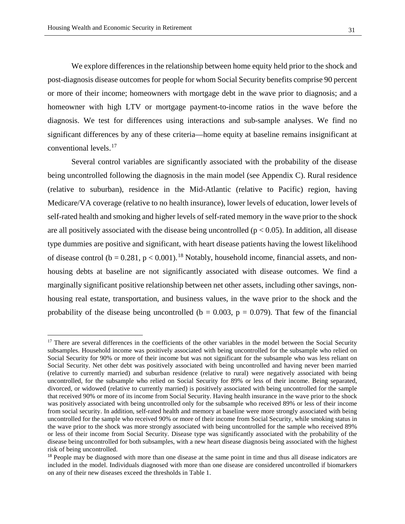We explore differences in the relationship between home equity held prior to the shock and post-diagnosis disease outcomes for people for whom Social Security benefits comprise 90 percent or more of their income; homeowners with mortgage debt in the wave prior to diagnosis; and a homeowner with high LTV or mortgage payment-to-income ratios in the wave before the diagnosis. We test for differences using interactions and sub-sample analyses. We find no significant differences by any of these criteria—home equity at baseline remains insignificant at conventional levels.[17](#page-30-0)

Several control variables are significantly associated with the probability of the disease being uncontrolled following the diagnosis in the main model (see Appendix C). Rural residence (relative to suburban), residence in the Mid-Atlantic (relative to Pacific) region, having Medicare/VA coverage (relative to no health insurance), lower levels of education, lower levels of self-rated health and smoking and higher levels of self-rated memory in the wave prior to the shock are all positively associated with the disease being uncontrolled ( $p < 0.05$ ). In addition, all disease type dummies are positive and significant, with heart disease patients having the lowest likelihood of disease control ( $b = 0.281$ ,  $p < 0.001$ ).<sup>[18](#page-30-1)</sup> Notably, household income, financial assets, and nonhousing debts at baseline are not significantly associated with disease outcomes. We find a marginally significant positive relationship between net other assets, including other savings, nonhousing real estate, transportation, and business values, in the wave prior to the shock and the probability of the disease being uncontrolled ( $b = 0.003$ ,  $p = 0.079$ ). That few of the financial

<span id="page-30-0"></span><sup>&</sup>lt;sup>17</sup> There are several differences in the coefficients of the other variables in the model between the Social Security subsamples. Household income was positively associated with being uncontrolled for the subsample who relied on Social Security for 90% or more of their income but was not significant for the subsample who was less reliant on Social Security. Net other debt was positively associated with being uncontrolled and having never been married (relative to currently married) and suburban residence (relative to rural) were negatively associated with being uncontrolled, for the subsample who relied on Social Security for 89% or less of their income. Being separated, divorced, or widowed (relative to currently married) is positively associated with being uncontrolled for the sample that received 90% or more of its income from Social Security. Having health insurance in the wave prior to the shock was positively associated with being uncontrolled only for the subsample who received 89% or less of their income from social security. In addition, self-rated health and memory at baseline were more strongly associated with being uncontrolled for the sample who received 90% or more of their income from Social Security, while smoking status in the wave prior to the shock was more strongly associated with being uncontrolled for the sample who received 89% or less of their income from Social Security. Disease type was significantly associated with the probability of the disease being uncontrolled for both subsamples, with a new heart disease diagnosis being associated with the highest risk of being uncontrolled.

<span id="page-30-1"></span><sup>&</sup>lt;sup>18</sup> People may be diagnosed with more than one disease at the same point in time and thus all disease indicators are included in the model. Individuals diagnosed with more than one disease are considered uncontrolled if biomarkers on any of their new diseases exceed the thresholds in Table 1.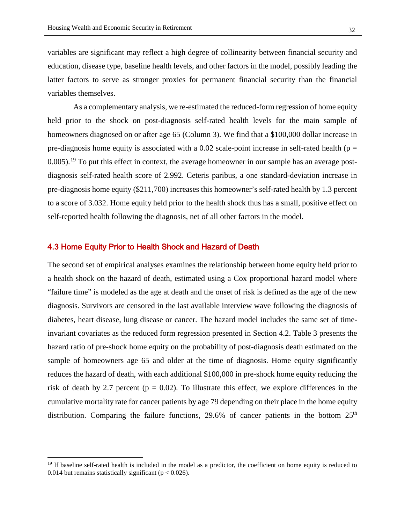variables are significant may reflect a high degree of collinearity between financial security and education, disease type, baseline health levels, and other factors in the model, possibly leading the latter factors to serve as stronger proxies for permanent financial security than the financial variables themselves.

 As a complementary analysis, we re-estimated the reduced-form regression of home equity held prior to the shock on post-diagnosis self-rated health levels for the main sample of homeowners diagnosed on or after age 65 (Column 3). We find that a \$100,000 dollar increase in pre-diagnosis home equity is associated with a 0.02 scale-point increase in self-rated health ( $p =$  $0.005$ .<sup>19</sup> To put this effect in context, the average homeowner in our sample has an average postdiagnosis self-rated health score of 2.992. Ceteris paribus, a one standard-deviation increase in pre-diagnosis home equity (\$211,700) increases this homeowner's self-rated health by 1.3 percent to a score of 3.032. Home equity held prior to the health shock thus has a small, positive effect on self-reported health following the diagnosis, net of all other factors in the model.

#### 4.3 Home Equity Prior to Health Shock and Hazard of Death

 $\overline{a}$ 

The second set of empirical analyses examines the relationship between home equity held prior to a health shock on the hazard of death, estimated using a Cox proportional hazard model where "failure time" is modeled as the age at death and the onset of risk is defined as the age of the new diagnosis. Survivors are censored in the last available interview wave following the diagnosis of diabetes, heart disease, lung disease or cancer. The hazard model includes the same set of timeinvariant covariates as the reduced form regression presented in Section 4.2. Table 3 presents the hazard ratio of pre-shock home equity on the probability of post-diagnosis death estimated on the sample of homeowners age 65 and older at the time of diagnosis. Home equity significantly reduces the hazard of death, with each additional \$100,000 in pre-shock home equity reducing the risk of death by 2.7 percent ( $p = 0.02$ ). To illustrate this effect, we explore differences in the cumulative mortality rate for cancer patients by age 79 depending on their place in the home equity distribution. Comparing the failure functions, 29.6% of cancer patients in the bottom  $25<sup>th</sup>$ 

<span id="page-31-0"></span> $19$  If baseline self-rated health is included in the model as a predictor, the coefficient on home equity is reduced to 0.014 but remains statistically significant ( $p < 0.026$ ).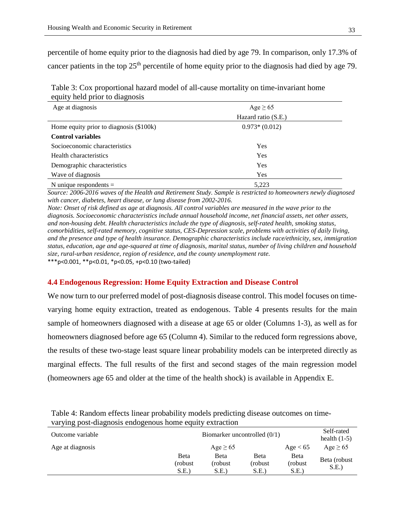percentile of home equity prior to the diagnosis had died by age 79. In comparison, only 17.3% of cancer patients in the top 25<sup>th</sup> percentile of home equity prior to the diagnosis had died by age 79.

| Table 3: Cox proportional hazard model of all-cause mortality on time-invariant home |  |
|--------------------------------------------------------------------------------------|--|
| equity held prior to diagnosis                                                       |  |

| Age at diagnosis                        | Age $\geq 65$       |  |
|-----------------------------------------|---------------------|--|
|                                         | Hazard ratio (S.E.) |  |
| Home equity prior to diagnosis (\$100k) | $0.973*(0.012)$     |  |
| <b>Control variables</b>                |                     |  |
| Socioeconomic characteristics           | Yes                 |  |
| Health characteristics                  | Yes                 |  |
| Demographic characteristics             | Yes                 |  |
| Wave of diagnosis                       | Yes                 |  |
| N unique respondents $=$                | 5,223               |  |

*Source: 2006-2016 waves of the Health and Retirement Study. Sample is restricted to homeowners newly diagnosed with cancer, diabetes, heart disease, or lung disease from 2002-2016.*

*Note: Onset of risk defined as age at diagnosis. All control variables are measured in the wave prior to the diagnosis. Socioeconomic characteristics include annual household income, net financial assets, net other assets, and non-housing debt. Health characteristics include the type of diagnosis, self-rated health, smoking status, comorbidities, self-rated memory, cognitive status, CES-Depression scale, problems with activities of daily living, and the presence and type of health insurance. Demographic characteristics include race/ethnicity, sex, immigration status, education, age and age-squared at time of diagnosis, marital status, number of living children and household size, rural-urban residence, region of residence, and the county unemployment rate.*

\*\*\*p<0.001, \*\*p<0.01, \*p<0.05, +p<0.10 (two-tailed)

#### **4.4 Endogenous Regression: Home Equity Extraction and Disease Control**

We now turn to our preferred model of post-diagnosis disease control. This model focuses on timevarying home equity extraction, treated as endogenous. Table 4 presents results for the main sample of homeowners diagnosed with a disease at age 65 or older (Columns 1-3), as well as for homeowners diagnosed before age 65 (Column 4). Similar to the reduced form regressions above, the results of these two-stage least square linear probability models can be interpreted directly as marginal effects. The full results of the first and second stages of the main regression model (homeowners age 65 and older at the time of the health shock) is available in Appendix E.

Table 4: Random effects linear probability models predicting disease outcomes on timevarying post-diagnosis endogenous home equity extraction

|                  | Biomarker uncontrolled $(0/1)$ |                 | health $(1-5)$          |                       |
|------------------|--------------------------------|-----------------|-------------------------|-----------------------|
|                  | Age $\geq 65$                  |                 | Age $< 65$              | Age $\geq 65$         |
| Beta<br>(robust) | Beta<br>(robust                | Beta<br>(robust | <b>B</b> eta<br>(robust | Beta (robust)<br>S.E. |
|                  | S.E.                           | S.E.            | S.E.                    | S.E.                  |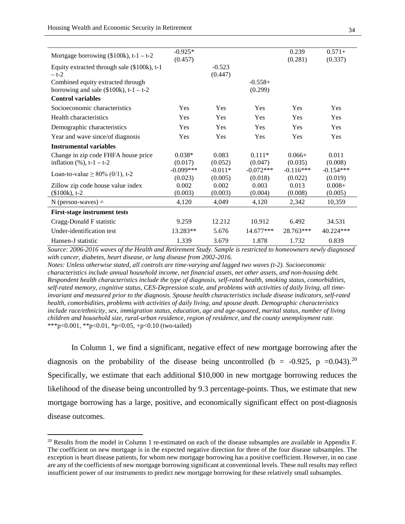| Mortgage borrowing $(\$100k)$ , t-1 – t-2                                     | $-0.925*$<br>(0.457) |                     |                      | 0.239<br>(0.281) | $0.571+$<br>(0.337) |
|-------------------------------------------------------------------------------|----------------------|---------------------|----------------------|------------------|---------------------|
| Equity extracted through sale (\$100k), t-1<br>$- t-2$                        |                      | $-0.523$<br>(0.447) |                      |                  |                     |
| Combined equity extracted through<br>borrowing and sale (\$100k), $t-1 - t-2$ |                      |                     | $-0.558+$<br>(0.299) |                  |                     |
| <b>Control variables</b>                                                      |                      |                     |                      |                  |                     |
| Socioeconomic characteristics                                                 | <b>Yes</b>           | <b>Yes</b>          | Yes                  | Yes              | Yes                 |
| Health characteristics                                                        | Yes                  | Yes                 | Yes                  | Yes              | Yes                 |
| Demographic characteristics                                                   | Yes                  | Yes                 | Yes                  | Yes              | Yes                 |
| Year and wave since/of diagnosis                                              | Yes                  | <b>Yes</b>          | <b>Yes</b>           | Yes              | Yes                 |
| <b>Instrumental variables</b>                                                 |                      |                     |                      |                  |                     |
| Change in zip code FHFA house price                                           | $0.038*$             | 0.083               | $0.111*$             | $0.066+$         | 0.011               |
| inflation $(\%), t-1 - t-2$                                                   | (0.017)              | (0.052)             | (0.047)              | (0.035)          | (0.008)             |
| Loan-to-value $\geq 80\%$ (0/1), t-2                                          | $-0.099***$          | $-0.011*$           | $-0.072***$          | $-0.116***$      | $-0.154***$         |
|                                                                               | (0.023)              | (0.005)             | (0.018)              | (0.022)          | (0.019)             |
| Zillow zip code house value index                                             | 0.002                | 0.002               | 0.003                | 0.013            | $0.008 +$           |
| $(\$100k)$ , t-2                                                              | (0.003)              | (0.003)             | (0.004)              | (0.008)          | (0.005)             |
| $N$ (person-waves) =                                                          | 4,120                | 4.049               | 4,120                | 2,342            | 10,359              |
| <b>First-stage instrument tests</b>                                           |                      |                     |                      |                  |                     |
| Cragg-Donald F statistic                                                      | 9.259                | 12.212              | 10.912               | 6.492            | 34.531              |
| Under-identification test                                                     | 13.283**             | 5.676               | $14.677***$          | 28.763***        | 40.224***           |
| Hansen-J statistic                                                            | 1.339                | 3.679               | 1.878                | 1.732            | 0.839               |

*Source: 2006-2016 waves of the Health and Retirement Study. Sample is restricted to homeowners newly diagnosed with cancer, diabetes, heart disease, or lung disease from 2002-2016.*

*Notes: Unless otherwise stated, all controls are time-varying and lagged two waves (t-2). Socioeconomic characteristics include annual household income, net financial assets, net other assets, and non-housing debt. Respondent health characteristics include the type of diagnosis, self-rated health, smoking status, comorbidities, self-rated memory, cognitive status, CES-Depression scale, and problems with activities of daily living, all timeinvariant and measured prior to the diagnosis. Spouse health characteristics include disease indicators, self-rated health, comorbidities, problems with activities of daily living, and spouse death. Demographic characteristics include race/ethnicity, sex, immigration status, education, age and age-squared, marital status, number of living children and household size, rural-urban residence, region of residence, and the county unemployment rate.* \*\*\*p<0.001, \*\*p<0.01, \*p<0.05, +p<0.10 (two-tailed)

In Column 1, we find a significant, negative effect of new mortgage borrowing after the diagnosis on the probability of the disease being uncontrolled (b = -0.925, p =0.043).<sup>[20](#page-33-0)</sup> Specifically, we estimate that each additional \$10,000 in new mortgage borrowing reduces the likelihood of the disease being uncontrolled by 9.3 percentage-points. Thus, we estimate that new mortgage borrowing has a large, positive, and economically significant effect on post-diagnosis disease outcomes.

<span id="page-33-0"></span><sup>&</sup>lt;sup>20</sup> Results from the model in Column 1 re-estimated on each of the disease subsamples are available in Appendix F. The coefficient on new mortgage is in the expected negative direction for three of the four disease subsamples. The exception is heart disease patients, for whom new mortgage borrowing has a positive coefficient. However, in no case are any of the coefficients of new mortgage borrowing significant at conventional levels. These null results may reflect insufficient power of our instruments to predict new mortgage borrowing for these relatively small subsamples.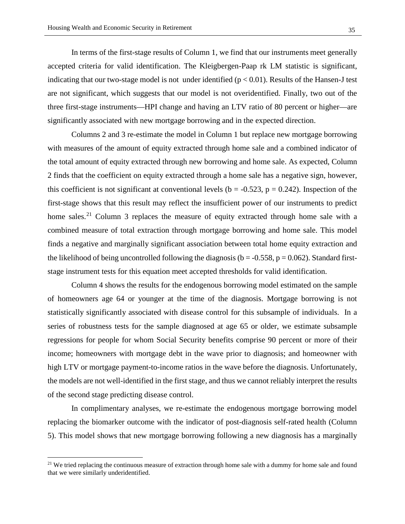In terms of the first-stage results of Column 1, we find that our instruments meet generally accepted criteria for valid identification. The Kleigbergen-Paap rk LM statistic is significant, indicating that our two-stage model is not under identified ( $p < 0.01$ ). Results of the Hansen-J test are not significant, which suggests that our model is not overidentified. Finally, two out of the three first-stage instruments—HPI change and having an LTV ratio of 80 percent or higher—are significantly associated with new mortgage borrowing and in the expected direction.

 Columns 2 and 3 re-estimate the model in Column 1 but replace new mortgage borrowing with measures of the amount of equity extracted through home sale and a combined indicator of the total amount of equity extracted through new borrowing and home sale. As expected, Column 2 finds that the coefficient on equity extracted through a home sale has a negative sign, however, this coefficient is not significant at conventional levels ( $b = -0.523$ ,  $p = 0.242$ ). Inspection of the first-stage shows that this result may reflect the insufficient power of our instruments to predict home sales.<sup>[21](#page-34-0)</sup> Column 3 replaces the measure of equity extracted through home sale with a combined measure of total extraction through mortgage borrowing and home sale. This model finds a negative and marginally significant association between total home equity extraction and the likelihood of being uncontrolled following the diagnosis ( $b = -0.558$ ,  $p = 0.062$ ). Standard firststage instrument tests for this equation meet accepted thresholds for valid identification.

 Column 4 shows the results for the endogenous borrowing model estimated on the sample of homeowners age 64 or younger at the time of the diagnosis. Mortgage borrowing is not statistically significantly associated with disease control for this subsample of individuals. In a series of robustness tests for the sample diagnosed at age 65 or older, we estimate subsample regressions for people for whom Social Security benefits comprise 90 percent or more of their income; homeowners with mortgage debt in the wave prior to diagnosis; and homeowner with high LTV or mortgage payment-to-income ratios in the wave before the diagnosis. Unfortunately, the models are not well-identified in the first stage, and thus we cannot reliably interpret the results of the second stage predicting disease control.

In complimentary analyses, we re-estimate the endogenous mortgage borrowing model replacing the biomarker outcome with the indicator of post-diagnosis self-rated health (Column 5). This model shows that new mortgage borrowing following a new diagnosis has a marginally

 $\overline{a}$ 

<span id="page-34-0"></span><sup>&</sup>lt;sup>21</sup> We tried replacing the continuous measure of extraction through home sale with a dummy for home sale and found that we were similarly underidentified.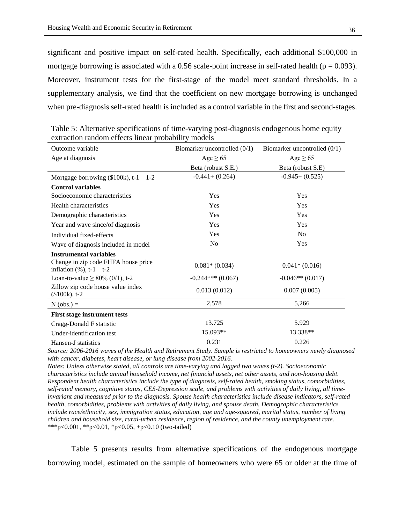significant and positive impact on self-rated health. Specifically, each additional \$100,000 in mortgage borrowing is associated with a 0.56 scale-point increase in self-rated health ( $p = 0.093$ ). Moreover, instrument tests for the first-stage of the model meet standard thresholds. In a supplementary analysis, we find that the coefficient on new mortgage borrowing is unchanged when pre-diagnosis self-rated health is included as a control variable in the first and second-stages.

| Outcome variable                                                    | Biomarker uncontrolled $(0/1)$ | Biomarker uncontrolled $(0/1)$ |  |
|---------------------------------------------------------------------|--------------------------------|--------------------------------|--|
| Age at diagnosis                                                    | Age $\geq 65$                  | Age $\geq 65$                  |  |
|                                                                     | Beta (robust S.E.)             | Beta (robust S.E)              |  |
| Mortgage borrowing $(\$100k)$ , t-1 – 1-2                           | $-0.441 + (0.264)$             | $-0.945+ (0.525)$              |  |
| <b>Control variables</b>                                            |                                |                                |  |
| Socioeconomic characteristics                                       | Yes                            | Yes                            |  |
| Health characteristics                                              | Yes                            | Yes                            |  |
| Demographic characteristics                                         | Yes                            | Yes                            |  |
| Year and wave since/of diagnosis                                    | Yes                            | Yes                            |  |
| Individual fixed-effects                                            | Yes                            | N <sub>o</sub>                 |  |
| Wave of diagnosis included in model                                 | N <sub>0</sub>                 | Yes                            |  |
| <b>Instrumental variables</b>                                       |                                |                                |  |
| Change in zip code FHFA house price<br>inflation $(\%)$ , t-1 – t-2 | $0.081*(0.034)$                | $0.041*(0.016)$                |  |
| Loan-to-value $\geq 80\%$ (0/1), t-2                                | $-0.244***(0.067)$             | $-0.046**$ (0.017)             |  |
| Zillow zip code house value index<br>$($100k), t-2$                 | 0.013(0.012)                   | 0.007(0.005)                   |  |
| $N (obs.) =$                                                        | 2,578                          | 5,266                          |  |
| <b>First stage instrument tests</b>                                 |                                |                                |  |
| Cragg-Donald F statistic                                            | 13.725                         | 5.929                          |  |
| Under-identification test                                           | 15.093**                       | 13.338**                       |  |
| Hansen-J statistics                                                 | 0.231                          | 0.226                          |  |

Table 5: Alternative specifications of time-varying post-diagnosis endogenous home equity extraction random effects linear probability models

*Source: 2006-2016 waves of the Health and Retirement Study. Sample is restricted to homeowners newly diagnosed with cancer, diabetes, heart disease, or lung disease from 2002-2016.*

*Notes: Unless otherwise stated, all controls are time-varying and lagged two waves (t-2). Socioeconomic characteristics include annual household income, net financial assets, net other assets, and non-housing debt. Respondent health characteristics include the type of diagnosis, self-rated health, smoking status, comorbidities, self-rated memory, cognitive status, CES-Depression scale, and problems with activities of daily living, all timeinvariant and measured prior to the diagnosis. Spouse health characteristics include disease indicators, self-rated health, comorbidities, problems with activities of daily living, and spouse death. Demographic characteristics include race/ethnicity, sex, immigration status, education, age and age-squared, marital status, number of living children and household size, rural-urban residence, region of residence, and the county unemployment rate.* \*\*\*p<0.001, \*\*p<0.01, \*p<0.05, +p<0.10 (two-tailed)

Table 5 presents results from alternative specifications of the endogenous mortgage borrowing model, estimated on the sample of homeowners who were 65 or older at the time of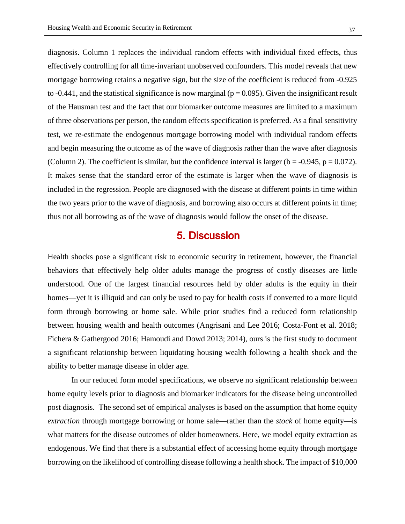diagnosis. Column 1 replaces the individual random effects with individual fixed effects, thus effectively controlling for all time-invariant unobserved confounders. This model reveals that new mortgage borrowing retains a negative sign, but the size of the coefficient is reduced from -0.925 to  $-0.441$ , and the statistical significance is now marginal ( $p = 0.095$ ). Given the insignificant result of the Hausman test and the fact that our biomarker outcome measures are limited to a maximum of three observations per person, the random effects specification is preferred. As a final sensitivity test, we re-estimate the endogenous mortgage borrowing model with individual random effects and begin measuring the outcome as of the wave of diagnosis rather than the wave after diagnosis (Column 2). The coefficient is similar, but the confidence interval is larger ( $b = -0.945$ ,  $p = 0.072$ ). It makes sense that the standard error of the estimate is larger when the wave of diagnosis is included in the regression. People are diagnosed with the disease at different points in time within the two years prior to the wave of diagnosis, and borrowing also occurs at different points in time; thus not all borrowing as of the wave of diagnosis would follow the onset of the disease.

## 5. Discussion

Health shocks pose a significant risk to economic security in retirement, however, the financial behaviors that effectively help older adults manage the progress of costly diseases are little understood. One of the largest financial resources held by older adults is the equity in their homes—yet it is illiquid and can only be used to pay for health costs if converted to a more liquid form through borrowing or home sale. While prior studies find a reduced form relationship between housing wealth and health outcomes (Angrisani and Lee 2016; Costa-Font et al. 2018; Fichera & Gathergood 2016; Hamoudi and Dowd 2013; 2014), ours is the first study to document a significant relationship between liquidating housing wealth following a health shock and the ability to better manage disease in older age.

In our reduced form model specifications, we observe no significant relationship between home equity levels prior to diagnosis and biomarker indicators for the disease being uncontrolled post diagnosis. The second set of empirical analyses is based on the assumption that home equity *extraction* through mortgage borrowing or home sale—rather than the *stock* of home equity—is what matters for the disease outcomes of older homeowners. Here, we model equity extraction as endogenous. We find that there is a substantial effect of accessing home equity through mortgage borrowing on the likelihood of controlling disease following a health shock. The impact of \$10,000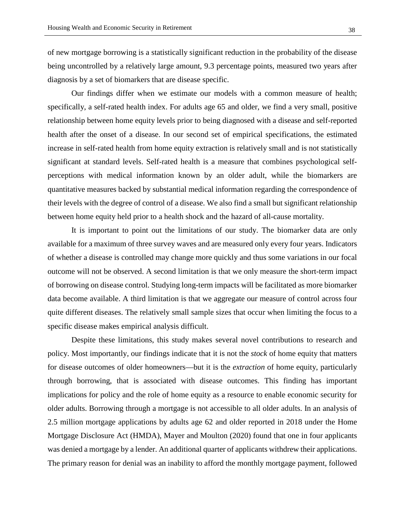of new mortgage borrowing is a statistically significant reduction in the probability of the disease being uncontrolled by a relatively large amount, 9.3 percentage points, measured two years after diagnosis by a set of biomarkers that are disease specific.

Our findings differ when we estimate our models with a common measure of health; specifically, a self-rated health index. For adults age 65 and older, we find a very small, positive relationship between home equity levels prior to being diagnosed with a disease and self-reported health after the onset of a disease. In our second set of empirical specifications, the estimated increase in self-rated health from home equity extraction is relatively small and is not statistically significant at standard levels. Self-rated health is a measure that combines psychological selfperceptions with medical information known by an older adult, while the biomarkers are quantitative measures backed by substantial medical information regarding the correspondence of their levels with the degree of control of a disease. We also find a small but significant relationship between home equity held prior to a health shock and the hazard of all-cause mortality.

It is important to point out the limitations of our study. The biomarker data are only available for a maximum of three survey waves and are measured only every four years. Indicators of whether a disease is controlled may change more quickly and thus some variations in our focal outcome will not be observed. A second limitation is that we only measure the short-term impact of borrowing on disease control. Studying long-term impacts will be facilitated as more biomarker data become available. A third limitation is that we aggregate our measure of control across four quite different diseases. The relatively small sample sizes that occur when limiting the focus to a specific disease makes empirical analysis difficult.

Despite these limitations, this study makes several novel contributions to research and policy. Most importantly, our findings indicate that it is not the *stock* of home equity that matters for disease outcomes of older homeowners—but it is the *extraction* of home equity, particularly through borrowing, that is associated with disease outcomes. This finding has important implications for policy and the role of home equity as a resource to enable economic security for older adults. Borrowing through a mortgage is not accessible to all older adults. In an analysis of 2.5 million mortgage applications by adults age 62 and older reported in 2018 under the Home Mortgage Disclosure Act (HMDA), Mayer and Moulton (2020) found that one in four applicants was denied a mortgage by a lender. An additional quarter of applicants withdrew their applications. The primary reason for denial was an inability to afford the monthly mortgage payment, followed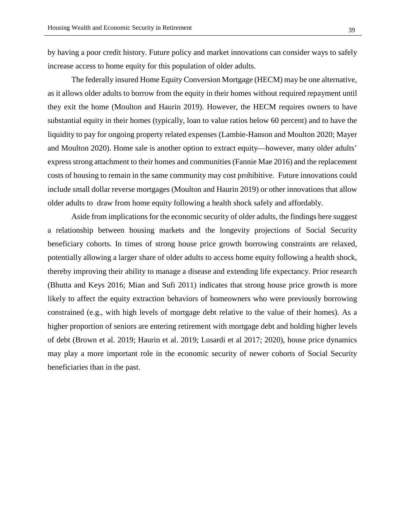by having a poor credit history. Future policy and market innovations can consider ways to safely increase access to home equity for this population of older adults.

The federally insured Home Equity Conversion Mortgage (HECM) may be one alternative, as it allows older adults to borrow from the equity in their homes without required repayment until they exit the home (Moulton and Haurin 2019). However, the HECM requires owners to have substantial equity in their homes (typically, loan to value ratios below 60 percent) and to have the liquidity to pay for ongoing property related expenses (Lambie-Hanson and Moulton 2020; Mayer and Moulton 2020). Home sale is another option to extract equity—however, many older adults' express strong attachment to their homes and communities (Fannie Mae 2016) and the replacement costs of housing to remain in the same community may cost prohibitive. Future innovations could include small dollar reverse mortgages (Moulton and Haurin 2019) or other innovations that allow older adults to draw from home equity following a health shock safely and affordably.

Aside from implications for the economic security of older adults, the findings here suggest a relationship between housing markets and the longevity projections of Social Security beneficiary cohorts. In times of strong house price growth borrowing constraints are relaxed, potentially allowing a larger share of older adults to access home equity following a health shock, thereby improving their ability to manage a disease and extending life expectancy. Prior research (Bhutta and Keys 2016; Mian and Sufi 2011) indicates that strong house price growth is more likely to affect the equity extraction behaviors of homeowners who were previously borrowing constrained (e.g., with high levels of mortgage debt relative to the value of their homes). As a higher proportion of seniors are entering retirement with mortgage debt and holding higher levels of debt (Brown et al. 2019; Haurin et al. 2019; Lusardi et al 2017; 2020), house price dynamics may play a more important role in the economic security of newer cohorts of Social Security beneficiaries than in the past.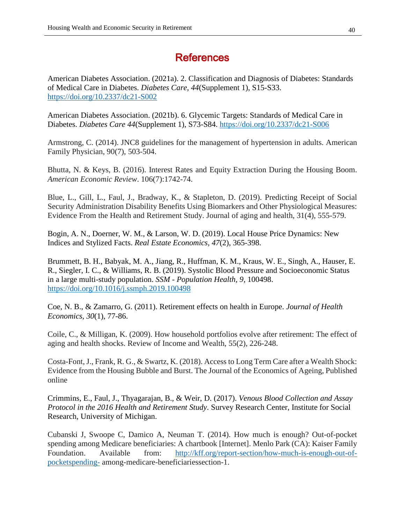# **References**

American Diabetes Association. (2021a). 2. Classification and Diagnosis of Diabetes: Standards of Medical Care in Diabetes. *Diabetes Care, 44*(Supplement 1), S15-S33. <https://doi.org/10.2337/dc21-S002>

American Diabetes Association. (2021b). 6. Glycemic Targets: Standards of Medical Care in Diabetes. *Diabetes Care 44*(Supplement 1), S73-S84.<https://doi.org/10.2337/dc21-S006>

Armstrong, C. (2014). JNC8 guidelines for the management of hypertension in adults. American Family Physician, 90(7), 503-504.

Bhutta, N. & Keys, B. (2016). Interest Rates and Equity Extraction During the Housing Boom. *American Economic Review*. 106(7):1742-74.

Blue, L., Gill, L., Faul, J., Bradway, K., & Stapleton, D. (2019). Predicting Receipt of Social Security Administration Disability Benefits Using Biomarkers and Other Physiological Measures: Evidence From the Health and Retirement Study. Journal of aging and health, 31(4), 555-579.

Bogin, A. N., Doerner, W. M., & Larson, W. D. (2019). Local House Price Dynamics: New Indices and Stylized Facts. *Real Estate Economics, 47*(2), 365-398.

Brummett, B. H., Babyak, M. A., Jiang, R., Huffman, K. M., Kraus, W. E., Singh, A., Hauser, E. R., Siegler, I. C., & Williams, R. B. (2019). Systolic Blood Pressure and Socioeconomic Status in a large multi-study population. *SSM - Population Health, 9*, 100498. <https://doi.org/10.1016/j.ssmph.2019.100498>

Coe, N. B., & Zamarro, G. (2011). Retirement effects on health in Europe. *Journal of Health Economics, 30*(1), 77-86.

Coile, C., & Milligan, K. (2009). How household portfolios evolve after retirement: The effect of aging and health shocks. Review of Income and Wealth, 55(2), 226-248.

Costa-Font, J., Frank, R. G., & Swartz, K. (2018). Access to Long Term Care after a Wealth Shock: Evidence from the Housing Bubble and Burst. The Journal of the Economics of Ageing, Published online

Crimmins, E., Faul, J., Thyagarajan, B., & Weir, D. (2017). *Venous Blood Collection and Assay Protocol in the 2016 Health and Retirement Study*. Survey Research Center, Institute for Social Research, University of Michigan.

Cubanski J, Swoope C, Damico A, Neuman T. (2014). How much is enough? Out-of-pocket spending among Medicare beneficiaries: A chartbook [Internet]. Menlo Park (CA): Kaiser Family Foundation. Available from: [http://kff.org/report-section/how-much-is-enough-out-of](http://kff.org/report-section/how-much-is-enough-out-of-pocketspending-)[pocketspending-](http://kff.org/report-section/how-much-is-enough-out-of-pocketspending-) among-medicare-beneficiariessection-1.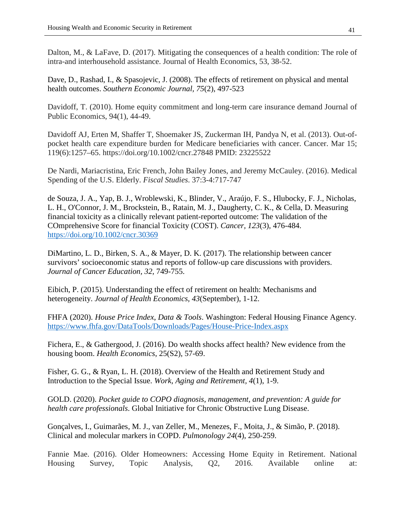Dalton, M., & LaFave, D. (2017). Mitigating the consequences of a health condition: The role of intra-and interhousehold assistance. Journal of Health Economics, 53, 38-52.

Dave, D., Rashad, I., & Spasojevic, J. (2008). The effects of retirement on physical and mental health outcomes. *Southern Economic Journal, 75*(2), 497-523

Davidoff, T. (2010). Home equity commitment and long-term care insurance demand Journal of Public Economics, 94(1), 44-49.

Davidoff AJ, Erten M, Shaffer T, Shoemaker JS, Zuckerman IH, Pandya N, et al. (2013). Out-ofpocket health care expenditure burden for Medicare beneficiaries with cancer. Cancer. Mar 15; 119(6):1257–65. https://doi.org/10.1002/cncr.27848 PMID: 23225522

De Nardi, Mariacristina, Eric French, John Bailey Jones, and Jeremy McCauley. (2016). Medical Spending of the U.S. Elderly. *Fiscal Studies*. 37:3-4:717-747

de Souza, J. A., Yap, B. J., Wroblewski, K., Blinder, V., Araújo, F. S., Hlubocky, F. J., Nicholas, L. H., O'Connor, J. M., Brockstein, B., Ratain, M. J., Daugherty, C. K., & Cella, D. Measuring financial toxicity as a clinically relevant patient-reported outcome: The validation of the COmprehensive Score for financial Toxicity (COST). *Cancer, 123*(3), 476-484. <https://doi.org/10.1002/cncr.30369>

DiMartino, L. D., Birken, S. A., & Mayer, D. K. (2017). The relationship between cancer survivors' socioeconomic status and reports of follow-up care discussions with providers. *Journal of Cancer Education, 32*, 749-755.

Eibich, P. (2015). Understanding the effect of retirement on health: Mechanisms and heterogeneity. *Journal of Health Economics, 43*(September), 1-12.

FHFA (2020). *House Price Index*, *Data & Tools*. Washington: Federal Housing Finance Agency. <https://www.fhfa.gov/DataTools/Downloads/Pages/House-Price-Index.aspx>

Fichera, E., & Gathergood, J. (2016). Do wealth shocks affect health? New evidence from the housing boom. *Health Economics*, 25(S2), 57-69.

Fisher, G. G., & Ryan, L. H. (2018). Overview of the Health and Retirement Study and Introduction to the Special Issue. *Work, Aging and Retirement, 4*(1), 1-9.

GOLD. (2020). *Pocket guide to COPO diagnosis, management, and prevention: A guide for health care professionals*. Global Initiative for Chronic Obstructive Lung Disease.

Gonçalves, I., Guimarães, M. J., van Zeller, M., Menezes, F., Moita, J., & Simão, P. (2018). Clinical and molecular markers in COPD. *Pulmonology 24*(4), 250-259.

Fannie Mae. (2016). Older Homeowners: Accessing Home Equity in Retirement. National Housing Survey, Topic Analysis, Q2, 2016. Available online at: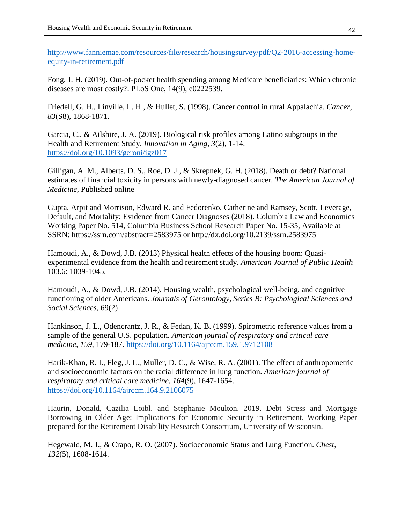[http://www.fanniemae.com/resources/file/research/housingsurvey/pdf/Q2-2016-accessing-home](http://www.fanniemae.com/resources/file/research/housingsurvey/pdf/Q2-2016-accessing-home-equity-in-retirement.pdf)[equity-in-retirement.pdf](http://www.fanniemae.com/resources/file/research/housingsurvey/pdf/Q2-2016-accessing-home-equity-in-retirement.pdf)

Fong, J. H. (2019). Out-of-pocket health spending among Medicare beneficiaries: Which chronic diseases are most costly?. PLoS One, 14(9), e0222539.

Friedell, G. H., Linville, L. H., & Hullet, S. (1998). Cancer control in rural Appalachia. *Cancer, 83*(S8), 1868-1871.

Garcia, C., & Ailshire, J. A. (2019). Biological risk profiles among Latino subgroups in the Health and Retirement Study. *Innovation in Aging, 3*(2), 1-14. <https://doi.org/10.1093/geroni/igz017>

Gilligan, A. M., Alberts, D. S., Roe, D. J., & Skrepnek, G. H. (2018). Death or debt? National estimates of financial toxicity in persons with newly-diagnosed cancer. *The American Journal of Medicine*, Published online

Gupta, Arpit and Morrison, Edward R. and Fedorenko, Catherine and Ramsey, Scott, Leverage, Default, and Mortality: Evidence from Cancer Diagnoses (2018). Columbia Law and Economics Working Paper No. 514, Columbia Business School Research Paper No. 15-35, Available at SSRN: https://ssrn.com/abstract=2583975 or http://dx.doi.org/10.2139/ssrn.2583975

Hamoudi, A., & Dowd, J.B. (2013) Physical health effects of the housing boom: Quasiexperimental evidence from the health and retirement study. *American Journal of Public Health* 103.6: 1039-1045.

Hamoudi, A., & Dowd, J.B. (2014). Housing wealth, psychological well-being, and cognitive functioning of older Americans. *Journals of Gerontology, Series B: Psychological Sciences and Social Sciences*, 69(2)

Hankinson, J. L., Odencrantz, J. R., & Fedan, K. B. (1999). Spirometric reference values from a sample of the general U.S. population. *American journal of respiratory and critical care medicine, 159*, 179-187.<https://doi.org/10.1164/ajrccm.159.1.9712108>

Harik-Khan, R. I., Fleg, J. L., Muller, D. C., & Wise, R. A. (2001). The effect of anthropometric and socioeconomic factors on the racial difference in lung function. *American journal of respiratory and critical care medicine, 164*(9), 1647-1654. <https://doi.org/10.1164/ajrccm.164.9.2106075>

Haurin, Donald, Cazilia Loibl, and Stephanie Moulton. 2019. Debt Stress and Mortgage Borrowing in Older Age: Implications for Economic Security in Retirement. Working Paper prepared for the Retirement Disability Research Consortium, University of Wisconsin.

Hegewald, M. J., & Crapo, R. O. (2007). Socioeconomic Status and Lung Function. *Chest, 132*(5), 1608-1614.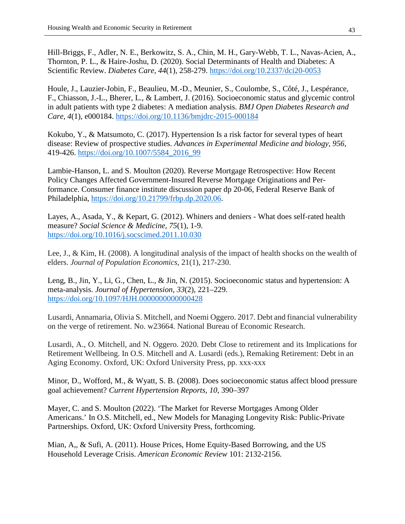Hill-Briggs, F., Adler, N. E., Berkowitz, S. A., Chin, M. H., Gary-Webb, T. L., Navas-Acien, A., Thornton, P. L., & Haire-Joshu, D. (2020). Social Determinants of Health and Diabetes: A Scientific Review. *Diabetes Care, 44*(1), 258-279.<https://doi.org/10.2337/dci20-0053>

Houle, J., Lauzier-Jobin, F., Beaulieu, M.-D., Meunier, S., Coulombe, S., Côté, J., Lespérance, F., Chiasson, J.-L., Bherer, L., & Lambert, J. (2016). Socioeconomic status and glycemic control in adult patients with type 2 diabetes: A mediation analysis. *BMJ Open Diabetes Research and Care, 4*(1), e000184.<https://doi.org/10.1136/bmjdrc-2015-000184>

Kokubo, Y., & Matsumoto, C. (2017). Hypertension Is a risk factor for several types of heart disease: Review of prospective studies. *Advances in Experimental Medicine and biology, 956*, 419-426. [https://doi.org/10.1007/5584\\_2016\\_99](https://doi.org/10.1007/5584_2016_99) 

Lambie-Hanson, L. and S. Moulton (2020). Reverse Mortgage Retrospective: How Recent Policy Changes Affected Government-Insured Reverse Mortgage Originations and Performance. Consumer finance institute discussion paper dp 20-06, Federal Reserve Bank of Philadelphia, [https://doi.org/10.21799/frbp.dp.2020.06.](https://doi.org/10.21799/frbp.dp.2020.06)

Layes, A., Asada, Y., & Kepart, G. (2012). Whiners and deniers - What does self-rated health measure? *Social Science & Medicine, 75*(1), 1-9. <https://doi.org/10.1016/j.socscimed.2011.10.030>

Lee, J., & Kim, H. (2008). A longitudinal analysis of the impact of health shocks on the wealth of elders. *Journal of Population Economics*, 21(1), 217-230.

Leng, B., Jin, Y., Li, G., Chen, L., & Jin, N. (2015). Socioeconomic status and hypertension: A meta-analysis. *Journal of Hypertension, 33*(2), 221–229. <https://doi.org/10.1097/HJH.0000000000000428>

Lusardi, Annamaria, Olivia S. Mitchell, and Noemi Oggero. 2017. Debt and financial vulnerability on the verge of retirement. No. w23664. National Bureau of Economic Research.

Lusardi, A., O. Mitchell, and N. Oggero. 2020. Debt Close to retirement and its Implications for Retirement Wellbeing. In O.S. Mitchell and A. Lusardi (eds.), Remaking Retirement: Debt in an Aging Economy. Oxford, UK: Oxford University Press, pp. xxx-xxx

Minor, D., Wofford, M., & Wyatt, S. B. (2008). Does socioeconomic status affect blood pressure goal achievement? *Current Hypertension Reports, 10*, 390–397

Mayer, C. and S. Moulton (2022). 'The Market for Reverse Mortgages Among Older Americans.' In O.S. Mitchell, ed., New Models for Managing Longevity Risk: Public-Private Partnerships. Oxford, UK: Oxford University Press, forthcoming.

Mian, A,, & Sufi, A. (2011). House Prices, Home Equity-Based Borrowing, and the US Household Leverage Crisis. *American Economic Review* 101: 2132-2156.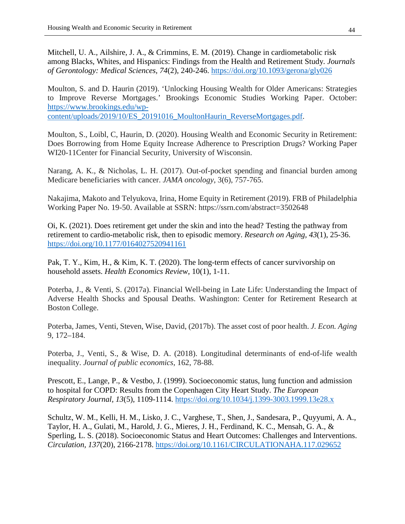Mitchell, U. A., Ailshire, J. A., & Crimmins, E. M. (2019). Change in cardiometabolic risk among Blacks, Whites, and Hispanics: Findings from the Health and Retirement Study. *Journals of Gerontology: Medical Sciences, 74*(2), 240-246.<https://doi.org/10.1093/gerona/gly026>

Moulton, S. and D. Haurin (2019). 'Unlocking Housing Wealth for Older Americans: Strategies to Improve Reverse Mortgages.' Brookings Economic Studies Working Paper. October: [https://www.brookings.edu/wp-](https://www.brookings.edu/wp-content/uploads/2019/10/ES_20191016_MoultonHaurin_ReverseMortgages.pdf)

[content/uploads/2019/10/ES\\_20191016\\_MoultonHaurin\\_ReverseMortgages.pdf.](https://www.brookings.edu/wp-content/uploads/2019/10/ES_20191016_MoultonHaurin_ReverseMortgages.pdf)

Moulton, S., Loibl, C, Haurin, D. (2020). Housing Wealth and Economic Security in Retirement: Does Borrowing from Home Equity Increase Adherence to Prescription Drugs? Working Paper WI20-11Center for Financial Security, University of Wisconsin.

Narang, A. K., & Nicholas, L. H. (2017). Out-of-pocket spending and financial burden among Medicare beneficiaries with cancer. *JAMA oncology*, 3(6), 757-765.

Nakajima, Makoto and Telyukova, Irina, Home Equity in Retirement (2019). FRB of Philadelphia Working Paper No. 19-50. Available at SSRN: https://ssrn.com/abstract=3502648

Oi, K. (2021). Does retirement get under the skin and into the head? Testing the pathway from retirement to cardio-metabolic risk, then to episodic memory. *Research on Aging, 43*(1), 25-36. <https://doi.org/10.1177/0164027520941161>

Pak, T. Y., Kim, H., & Kim, K. T. (2020). The long-term effects of cancer survivorship on household assets. *Health Economics Review*, 10(1), 1-11.

Poterba, J., & Venti, S. (2017a). Financial Well-being in Late Life: Understanding the Impact of Adverse Health Shocks and Spousal Deaths. Washington: Center for Retirement Research at Boston College.

Poterba, James, Venti, Steven, Wise, David, (2017b). The asset cost of poor health. *J. Econ. Aging* 9, 172–184.

Poterba, J., Venti, S., & Wise, D. A. (2018). Longitudinal determinants of end-of-life wealth inequality. *Journal of public economics*, 162, 78-88.

Prescott, E., Lange, P., & Vestbo, J. (1999). Socioeconomic status, lung function and admission to hospital for COPD: Results from the Copenhagen City Heart Study. *The European Respiratory Journal, 13*(5), 1109-1114.<https://doi.org/10.1034/j.1399-3003.1999.13e28.x>

Schultz, W. M., Kelli, H. M., Lisko, J. C., Varghese, T., Shen, J., Sandesara, P., Quyyumi, A. A., Taylor, H. A., Gulati, M., Harold, J. G., Mieres, J. H., Ferdinand, K. C., Mensah, G. A., & Sperling, L. S. (2018). Socioeconomic Status and Heart Outcomes: Challenges and Interventions. *Circulation, 137*(20), 2166-2178.<https://doi.org/10.1161/CIRCULATIONAHA.117.029652>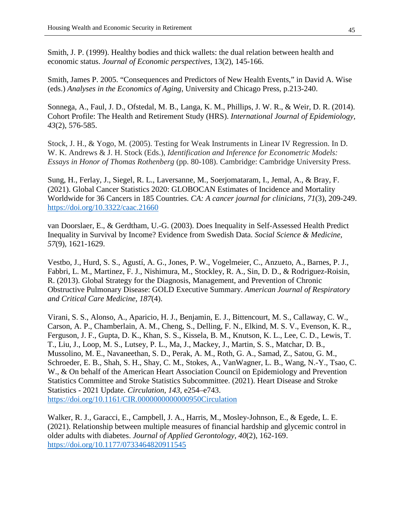Smith, J. P. (1999). Healthy bodies and thick wallets: the dual relation between health and economic status. *Journal of Economic perspectives*, 13(2), 145-166.

Smith, James P. 2005. "Consequences and Predictors of New Health Events," in David A. Wise (eds.) *Analyses in the Economics of Aging*, University and Chicago Press, p.213-240.

Sonnega, A., Faul, J. D., Ofstedal, M. B., Langa, K. M., Phillips, J. W. R., & Weir, D. R. (2014). Cohort Profile: The Health and Retirement Study (HRS). *International Journal of Epidemiology, 43*(2), 576-585.

Stock, J. H., & Yogo, M. (2005). Testing for Weak Instruments in Linear IV Regression. In D. W. K. Andrews & J. H. Stock (Eds.), *Identification and Inference for Econometric Models: Essays in Honor of Thomas Rothenberg* (pp. 80-108). Cambridge: Cambridge University Press.

Sung, H., Ferlay, J., Siegel, R. L., Laversanne, M., Soerjomataram, I., Jemal, A., & Bray, F. (2021). Global Cancer Statistics 2020: GLOBOCAN Estimates of Incidence and Mortality Worldwide for 36 Cancers in 185 Countries. *CA: A cancer journal for clinicians, 71*(3), 209-249. <https://doi.org/10.3322/caac.21660>

van Doorslaer, E., & Gerdtham, U.-G. (2003). Does Inequality in Self-Assessed Health Predict Inequality in Survival by Income? Evidence from Swedish Data. *Social Science & Medicine, 57*(9), 1621-1629.

Vestbo, J., Hurd, S. S., Agustí, A. G., Jones, P. W., Vogelmeier, C., Anzueto, A., Barnes, P. J., Fabbri, L. M., Martinez, F. J., Nishimura, M., Stockley, R. A., Sin, D. D., & Rodriguez-Roisin, R. (2013). Global Strategy for the Diagnosis, Management, and Prevention of Chronic Obstructive Pulmonary Disease: GOLD Executive Summary. *American Journal of Respiratory and Critical Care Medicine, 187*(4).

Virani, S. S., Alonso, A., Aparicio, H. J., Benjamin, E. J., Bittencourt, M. S., Callaway, C. W., Carson, A. P., Chamberlain, A. M., Cheng, S., Delling, F. N., Elkind, M. S. V., Evenson, K. R., Ferguson, J. F., Gupta, D. K., Khan, S. S., Kissela, B. M., Knutson, K. L., Lee, C. D., Lewis, T. T., Liu, J., Loop, M. S., Lutsey, P. L., Ma, J., Mackey, J., Martin, S. S., Matchar, D. B., Mussolino, M. E., Navaneethan, S. D., Perak, A. M., Roth, G. A., Samad, Z., Satou, G. M., Schroeder, E. B., Shah, S. H., Shay, C. M., Stokes, A., VanWagner, L. B., Wang, N.-Y., Tsao, C. W., & On behalf of the American Heart Association Council on Epidemiology and Prevention Statistics Committee and Stroke Statistics Subcommittee. (2021). Heart Disease and Stroke Statistics - 2021 Update. *Circulation, 143*, e254–e743. <https://doi.org/10.1161/CIR.0000000000000950Circulation>

Walker, R. J., Garacci, E., Campbell, J. A., Harris, M., Mosley-Johnson, E., & Egede, L. E. (2021). Relationship between multiple measures of financial hardship and glycemic control in older adults with diabetes. *Journal of Applied Gerontology, 40*(2), 162-169. <https://doi.org/10.1177/0733464820911545>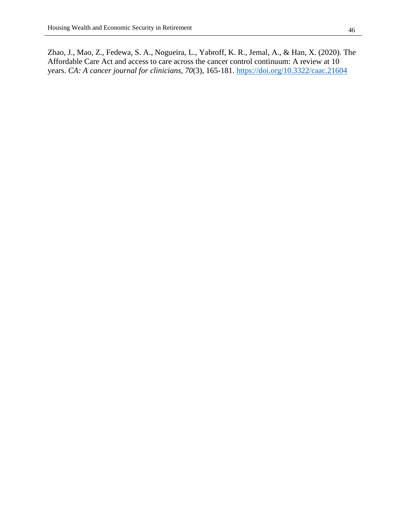Zhao, J., Mao, Z., Fedewa, S. A., Nogueira, L., Yabroff, K. R., Jemal, A., & Han, X. (2020). The Affordable Care Act and access to care across the cancer control continuum: A review at 10 years. *CA: A cancer journal for clinicians, 70*(3), 165-181.<https://doi.org/10.3322/caac.21604>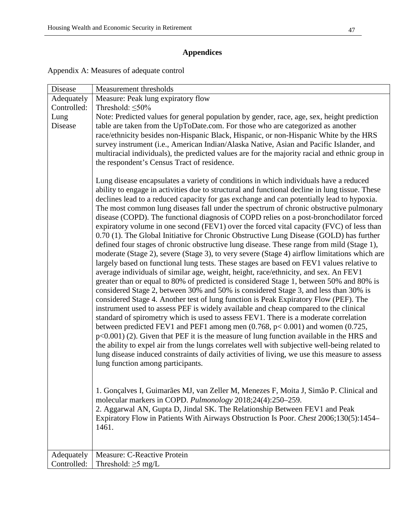## **Appendices**

| Appendix A: Measures of adequate control |  |
|------------------------------------------|--|
|------------------------------------------|--|

| Measure: Peak lung expiratory flow<br>Adequately<br>Controlled:<br>Threshold: $\leq 50\%$<br>Note: Predicted values for general population by gender, race, age, sex, height prediction<br>Lung<br>table are taken from the UpToDate.com. For those who are categorized as another<br><b>Disease</b><br>race/ethnicity besides non-Hispanic Black, Hispanic, or non-Hispanic White by the HRS<br>survey instrument (i.e., American Indian/Alaska Native, Asian and Pacific Islander, and<br>multiracial individuals), the predicted values are for the majority racial and ethnic group in<br>the respondent's Census Tract of residence.<br>Lung disease encapsulates a variety of conditions in which individuals have a reduced<br>ability to engage in activities due to structural and functional decline in lung tissue. These<br>declines lead to a reduced capacity for gas exchange and can potentially lead to hypoxia.<br>The most common lung diseases fall under the spectrum of chronic obstructive pulmonary<br>disease (COPD). The functional diagnosis of COPD relies on a post-bronchodilator forced<br>expiratory volume in one second (FEV1) over the forced vital capacity (FVC) of less than<br>0.70 (1). The Global Initiative for Chronic Obstructive Lung Disease (GOLD) has further<br>defined four stages of chronic obstructive lung disease. These range from mild (Stage 1),<br>moderate (Stage 2), severe (Stage 3), to very severe (Stage 4) airflow limitations which are<br>largely based on functional lung tests. These stages are based on FEV1 values relative to<br>average individuals of similar age, weight, height, race/ethnicity, and sex. An FEV1<br>greater than or equal to 80% of predicted is considered Stage 1, between 50% and 80% is<br>considered Stage 2, between 30% and 50% is considered Stage 3, and less than 30% is<br>considered Stage 4. Another test of lung function is Peak Expiratory Flow (PEF). The<br>instrument used to assess PEF is widely available and cheap compared to the clinical<br>standard of spirometry which is used to assess FEV1. There is a moderate correlation<br>between predicted FEV1 and PEF1 among men $(0.768, p< 0.001)$ and women $(0.725, p< 0.001)$<br>$p<0.001$ ) (2). Given that PEF it is the measure of lung function available in the HRS and<br>the ability to expel air from the lungs correlates well with subjective well-being related to<br>lung disease induced constraints of daily activities of living, we use this measure to assess<br>lung function among participants. |
|------------------------------------------------------------------------------------------------------------------------------------------------------------------------------------------------------------------------------------------------------------------------------------------------------------------------------------------------------------------------------------------------------------------------------------------------------------------------------------------------------------------------------------------------------------------------------------------------------------------------------------------------------------------------------------------------------------------------------------------------------------------------------------------------------------------------------------------------------------------------------------------------------------------------------------------------------------------------------------------------------------------------------------------------------------------------------------------------------------------------------------------------------------------------------------------------------------------------------------------------------------------------------------------------------------------------------------------------------------------------------------------------------------------------------------------------------------------------------------------------------------------------------------------------------------------------------------------------------------------------------------------------------------------------------------------------------------------------------------------------------------------------------------------------------------------------------------------------------------------------------------------------------------------------------------------------------------------------------------------------------------------------------------------------------------------------------------------------------------------------------------------------------------------------------------------------------------------------------------------------------------------------------------------------------------------------------------------------------------------------------------------------------------------------------------------------------------------------------------------------------------------------------------------------------------------------------------------------|
|                                                                                                                                                                                                                                                                                                                                                                                                                                                                                                                                                                                                                                                                                                                                                                                                                                                                                                                                                                                                                                                                                                                                                                                                                                                                                                                                                                                                                                                                                                                                                                                                                                                                                                                                                                                                                                                                                                                                                                                                                                                                                                                                                                                                                                                                                                                                                                                                                                                                                                                                                                                                |
|                                                                                                                                                                                                                                                                                                                                                                                                                                                                                                                                                                                                                                                                                                                                                                                                                                                                                                                                                                                                                                                                                                                                                                                                                                                                                                                                                                                                                                                                                                                                                                                                                                                                                                                                                                                                                                                                                                                                                                                                                                                                                                                                                                                                                                                                                                                                                                                                                                                                                                                                                                                                |
|                                                                                                                                                                                                                                                                                                                                                                                                                                                                                                                                                                                                                                                                                                                                                                                                                                                                                                                                                                                                                                                                                                                                                                                                                                                                                                                                                                                                                                                                                                                                                                                                                                                                                                                                                                                                                                                                                                                                                                                                                                                                                                                                                                                                                                                                                                                                                                                                                                                                                                                                                                                                |
|                                                                                                                                                                                                                                                                                                                                                                                                                                                                                                                                                                                                                                                                                                                                                                                                                                                                                                                                                                                                                                                                                                                                                                                                                                                                                                                                                                                                                                                                                                                                                                                                                                                                                                                                                                                                                                                                                                                                                                                                                                                                                                                                                                                                                                                                                                                                                                                                                                                                                                                                                                                                |
|                                                                                                                                                                                                                                                                                                                                                                                                                                                                                                                                                                                                                                                                                                                                                                                                                                                                                                                                                                                                                                                                                                                                                                                                                                                                                                                                                                                                                                                                                                                                                                                                                                                                                                                                                                                                                                                                                                                                                                                                                                                                                                                                                                                                                                                                                                                                                                                                                                                                                                                                                                                                |
|                                                                                                                                                                                                                                                                                                                                                                                                                                                                                                                                                                                                                                                                                                                                                                                                                                                                                                                                                                                                                                                                                                                                                                                                                                                                                                                                                                                                                                                                                                                                                                                                                                                                                                                                                                                                                                                                                                                                                                                                                                                                                                                                                                                                                                                                                                                                                                                                                                                                                                                                                                                                |
|                                                                                                                                                                                                                                                                                                                                                                                                                                                                                                                                                                                                                                                                                                                                                                                                                                                                                                                                                                                                                                                                                                                                                                                                                                                                                                                                                                                                                                                                                                                                                                                                                                                                                                                                                                                                                                                                                                                                                                                                                                                                                                                                                                                                                                                                                                                                                                                                                                                                                                                                                                                                |
|                                                                                                                                                                                                                                                                                                                                                                                                                                                                                                                                                                                                                                                                                                                                                                                                                                                                                                                                                                                                                                                                                                                                                                                                                                                                                                                                                                                                                                                                                                                                                                                                                                                                                                                                                                                                                                                                                                                                                                                                                                                                                                                                                                                                                                                                                                                                                                                                                                                                                                                                                                                                |
| 1. Gonçalves I, Guimarães MJ, van Zeller M, Menezes F, Moita J, Simão P. Clinical and<br>molecular markers in COPD. Pulmonology 2018;24(4):250-259.<br>2. Aggarwal AN, Gupta D, Jindal SK. The Relationship Between FEV1 and Peak<br>Expiratory Flow in Patients With Airways Obstruction Is Poor. Chest 2006;130(5):1454–                                                                                                                                                                                                                                                                                                                                                                                                                                                                                                                                                                                                                                                                                                                                                                                                                                                                                                                                                                                                                                                                                                                                                                                                                                                                                                                                                                                                                                                                                                                                                                                                                                                                                                                                                                                                                                                                                                                                                                                                                                                                                                                                                                                                                                                                     |
| 1461.                                                                                                                                                                                                                                                                                                                                                                                                                                                                                                                                                                                                                                                                                                                                                                                                                                                                                                                                                                                                                                                                                                                                                                                                                                                                                                                                                                                                                                                                                                                                                                                                                                                                                                                                                                                                                                                                                                                                                                                                                                                                                                                                                                                                                                                                                                                                                                                                                                                                                                                                                                                          |
|                                                                                                                                                                                                                                                                                                                                                                                                                                                                                                                                                                                                                                                                                                                                                                                                                                                                                                                                                                                                                                                                                                                                                                                                                                                                                                                                                                                                                                                                                                                                                                                                                                                                                                                                                                                                                                                                                                                                                                                                                                                                                                                                                                                                                                                                                                                                                                                                                                                                                                                                                                                                |
| Adequately<br>Measure: C-Reactive Protein                                                                                                                                                                                                                                                                                                                                                                                                                                                                                                                                                                                                                                                                                                                                                                                                                                                                                                                                                                                                                                                                                                                                                                                                                                                                                                                                                                                                                                                                                                                                                                                                                                                                                                                                                                                                                                                                                                                                                                                                                                                                                                                                                                                                                                                                                                                                                                                                                                                                                                                                                      |
| Controlled:<br>Threshold: $\geq$ 5 mg/L                                                                                                                                                                                                                                                                                                                                                                                                                                                                                                                                                                                                                                                                                                                                                                                                                                                                                                                                                                                                                                                                                                                                                                                                                                                                                                                                                                                                                                                                                                                                                                                                                                                                                                                                                                                                                                                                                                                                                                                                                                                                                                                                                                                                                                                                                                                                                                                                                                                                                                                                                        |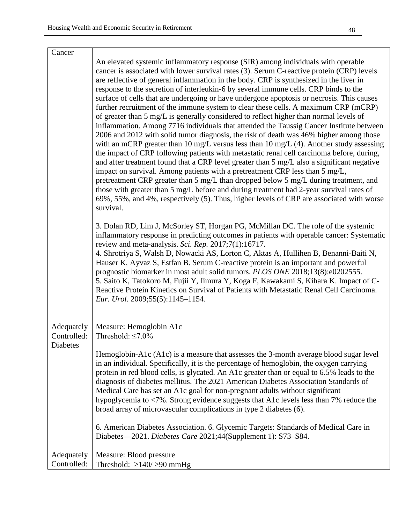| Cancer                                | An elevated systemic inflammatory response (SIR) among individuals with operable<br>cancer is associated with lower survival rates (3). Serum C-reactive protein (CRP) levels<br>are reflective of general inflammation in the body. CRP is synthesized in the liver in<br>response to the secretion of interleukin-6 by several immune cells. CRP binds to the<br>surface of cells that are undergoing or have undergone apoptosis or necrosis. This causes<br>further recruitment of the immune system to clear these cells. A maximum CRP (mCRP)<br>of greater than 5 mg/L is generally considered to reflect higher than normal levels of<br>inflammation. Among 7716 individuals that attended the Taussig Cancer Institute between<br>2006 and 2012 with solid tumor diagnosis, the risk of death was 46% higher among those<br>with an mCRP greater than $10 \text{ mg/L}$ versus less than $10 \text{ mg/L}$ (4). Another study assessing<br>the impact of CRP following patients with metastatic renal cell carcinoma before, during,<br>and after treatment found that a CRP level greater than 5 mg/L also a significant negative<br>impact on survival. Among patients with a pretreatment CRP less than 5 mg/L,<br>pretreatment CRP greater than 5 mg/L than dropped below 5 mg/L during treatment, and<br>those with greater than 5 mg/L before and during treatment had 2-year survival rates of<br>69%, 55%, and 4%, respectively (5). Thus, higher levels of CRP are associated with worse<br>survival.<br>3. Dolan RD, Lim J, McSorley ST, Horgan PG, McMillan DC. The role of the systemic<br>inflammatory response in predicting outcomes in patients with operable cancer: Systematic<br>review and meta-analysis. Sci. Rep. 2017;7(1):16717.<br>4. Shrotriya S, Walsh D, Nowacki AS, Lorton C, Aktas A, Hullihen B, Benanni-Baiti N,<br>Hauser K, Ayvaz S, Estfan B. Serum C-reactive protein is an important and powerful<br>prognostic biomarker in most adult solid tumors. PLOS ONE 2018;13(8):e0202555. |
|---------------------------------------|------------------------------------------------------------------------------------------------------------------------------------------------------------------------------------------------------------------------------------------------------------------------------------------------------------------------------------------------------------------------------------------------------------------------------------------------------------------------------------------------------------------------------------------------------------------------------------------------------------------------------------------------------------------------------------------------------------------------------------------------------------------------------------------------------------------------------------------------------------------------------------------------------------------------------------------------------------------------------------------------------------------------------------------------------------------------------------------------------------------------------------------------------------------------------------------------------------------------------------------------------------------------------------------------------------------------------------------------------------------------------------------------------------------------------------------------------------------------------------------------------------------------------------------------------------------------------------------------------------------------------------------------------------------------------------------------------------------------------------------------------------------------------------------------------------------------------------------------------------------------------------------------------------------------------------------------------------------------------------------------------------------------------------|
|                                       | 5. Saito K, Tatokoro M, Fujii Y, Iimura Y, Koga F, Kawakami S, Kihara K. Impact of C-<br>Reactive Protein Kinetics on Survival of Patients with Metastatic Renal Cell Carcinoma.<br>Eur. Urol. 2009;55(5):1145-1154.                                                                                                                                                                                                                                                                                                                                                                                                                                                                                                                                                                                                                                                                                                                                                                                                                                                                                                                                                                                                                                                                                                                                                                                                                                                                                                                                                                                                                                                                                                                                                                                                                                                                                                                                                                                                               |
| Adequately<br>Controlled:<br>Diabetes | Measure: Hemoglobin A1c<br>Threshold: $\leq$ 7.0%                                                                                                                                                                                                                                                                                                                                                                                                                                                                                                                                                                                                                                                                                                                                                                                                                                                                                                                                                                                                                                                                                                                                                                                                                                                                                                                                                                                                                                                                                                                                                                                                                                                                                                                                                                                                                                                                                                                                                                                  |
|                                       | Hemoglobin-A1c (A1c) is a measure that assesses the 3-month average blood sugar level<br>in an individual. Specifically, it is the percentage of hemoglobin, the oxygen carrying<br>protein in red blood cells, is glycated. An A1c greater than or equal to 6.5% leads to the<br>diagnosis of diabetes mellitus. The 2021 American Diabetes Association Standards of<br>Medical Care has set an A1c goal for non-pregnant adults without significant<br>hypoglycemia to <7%. Strong evidence suggests that A1c levels less than 7% reduce the<br>broad array of microvascular complications in type 2 diabetes (6).                                                                                                                                                                                                                                                                                                                                                                                                                                                                                                                                                                                                                                                                                                                                                                                                                                                                                                                                                                                                                                                                                                                                                                                                                                                                                                                                                                                                               |
|                                       | 6. American Diabetes Association. 6. Glycemic Targets: Standards of Medical Care in<br>Diabetes-2021. Diabetes Care 2021;44(Supplement 1): S73-S84.                                                                                                                                                                                                                                                                                                                                                                                                                                                                                                                                                                                                                                                                                                                                                                                                                                                                                                                                                                                                                                                                                                                                                                                                                                                                                                                                                                                                                                                                                                                                                                                                                                                                                                                                                                                                                                                                                |
| Adequately<br>Controlled:             | Measure: Blood pressure<br>Threshold: $\geq$ 140/ $\geq$ 90 mmHg                                                                                                                                                                                                                                                                                                                                                                                                                                                                                                                                                                                                                                                                                                                                                                                                                                                                                                                                                                                                                                                                                                                                                                                                                                                                                                                                                                                                                                                                                                                                                                                                                                                                                                                                                                                                                                                                                                                                                                   |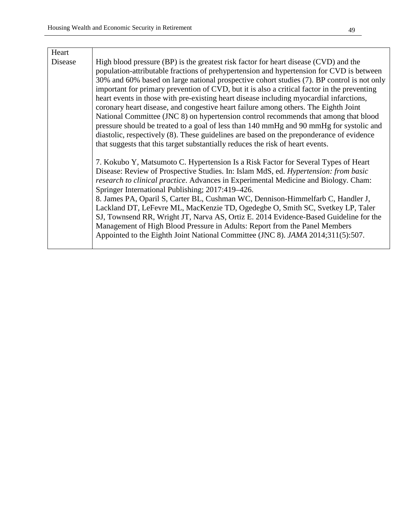| Heart   |                                                                                                                                                                                                                                                                                                                                                                                                                                                                                                                                                                                                                                                                                                                                                                                                                                                                                                                                 |
|---------|---------------------------------------------------------------------------------------------------------------------------------------------------------------------------------------------------------------------------------------------------------------------------------------------------------------------------------------------------------------------------------------------------------------------------------------------------------------------------------------------------------------------------------------------------------------------------------------------------------------------------------------------------------------------------------------------------------------------------------------------------------------------------------------------------------------------------------------------------------------------------------------------------------------------------------|
| Disease | High blood pressure (BP) is the greatest risk factor for heart disease (CVD) and the<br>population-attributable fractions of prehypertension and hypertension for CVD is between<br>30% and 60% based on large national prospective cohort studies (7). BP control is not only<br>important for primary prevention of CVD, but it is also a critical factor in the preventing<br>heart events in those with pre-existing heart disease including myocardial infarctions,<br>coronary heart disease, and congestive heart failure among others. The Eighth Joint<br>National Committee (JNC 8) on hypertension control recommends that among that blood<br>pressure should be treated to a goal of less than 140 mmHg and 90 mmHg for systolic and<br>diastolic, respectively (8). These guidelines are based on the preponderance of evidence<br>that suggests that this target substantially reduces the risk of heart events. |
|         | 7. Kokubo Y, Matsumoto C. Hypertension Is a Risk Factor for Several Types of Heart<br>Disease: Review of Prospective Studies. In: Islam MdS, ed. Hypertension: from basic<br>research to clinical practice. Advances in Experimental Medicine and Biology. Cham:<br>Springer International Publishing; 2017:419–426.<br>8. James PA, Oparil S, Carter BL, Cushman WC, Dennison-Himmelfarb C, Handler J,<br>Lackland DT, LeFevre ML, MacKenzie TD, Ogedegbe O, Smith SC, Svetkey LP, Taler<br>SJ, Townsend RR, Wright JT, Narva AS, Ortiz E. 2014 Evidence-Based Guideline for the<br>Management of High Blood Pressure in Adults: Report from the Panel Members<br>Appointed to the Eighth Joint National Committee (JNC 8). <i>JAMA</i> 2014;311(5):507.                                                                                                                                                                       |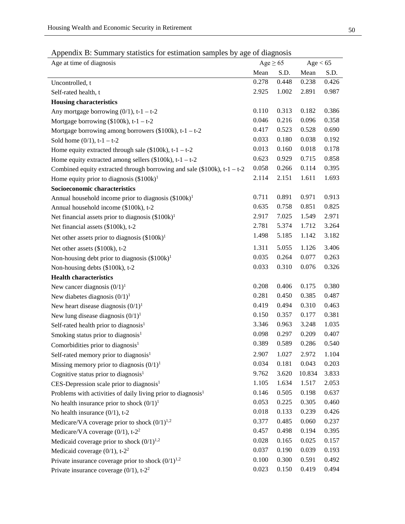|  |  | Appendix B: Summary statistics for estimation samples by age of diagnosis |  |  |  |
|--|--|---------------------------------------------------------------------------|--|--|--|
|  |  |                                                                           |  |  |  |

| Age at time of diagnosis                                                    | Age $\geq 65$ |       | Age < 65 |       |
|-----------------------------------------------------------------------------|---------------|-------|----------|-------|
|                                                                             | Mean          | S.D.  | Mean     | S.D.  |
| Uncontrolled, t                                                             | 0.278         | 0.448 | 0.238    | 0.426 |
| Self-rated health, t                                                        | 2.925         | 1.002 | 2.891    | 0.987 |
| <b>Housing characteristics</b>                                              |               |       |          |       |
| Any mortgage borrowing $(0/1)$ , t-1 – t-2                                  | 0.110         | 0.313 | 0.182    | 0.386 |
| Mortgage borrowing $(\$100k)$ , t-1 - t-2                                   | 0.046         | 0.216 | 0.096    | 0.358 |
| Mortgage borrowing among borrowers $(\$100k)$ , t-1 - t-2                   | 0.417         | 0.523 | 0.528    | 0.690 |
| Sold home $(0/1)$ , t-1 - t-2                                               | 0.033         | 0.180 | 0.038    | 0.192 |
| Home equity extracted through sale $(\$100k)$ , t-1 - t-2                   | 0.013         | 0.160 | 0.018    | 0.178 |
| Home equity extracted among sellers $(\$100k)$ , t-1 - t-2                  | 0.623         | 0.929 | 0.715    | 0.858 |
| Combined equity extracted through borrowing and sale $(\$100k)$ , t-1 - t-2 | 0.058         | 0.266 | 0.114    | 0.395 |
| Home equity prior to diagnosis $(\$100k)^1$                                 | 2.114         | 2.151 | 1.611    | 1.693 |
| Socioeconomic characteristics                                               |               |       |          |       |
| Annual household income prior to diagnosis (\$100k) <sup>1</sup>            | 0.711         | 0.891 | 0.971    | 0.913 |
| Annual household income (\$100k), t-2                                       | 0.635         | 0.758 | 0.851    | 0.825 |
| Net financial assets prior to diagnosis $(\$100k)^1$                        | 2.917         | 7.025 | 1.549    | 2.971 |
| Net financial assets (\$100k), t-2                                          | 2.781         | 5.374 | 1.712    | 3.264 |
| Net other assets prior to diagnosis $(\$100k)^1$                            | 1.498         | 5.185 | 1.142    | 3.182 |
| Net other assets (\$100k), t-2                                              | 1.311         | 5.055 | 1.126    | 3.406 |
| Non-housing debt prior to diagnosis $(\$100k)^1$                            | 0.035         | 0.264 | 0.077    | 0.263 |
| Non-housing debts (\$100k), t-2                                             | 0.033         | 0.310 | 0.076    | 0.326 |
| <b>Health characteristics</b>                                               |               |       |          |       |
| New cancer diagnosis $(0/1)^1$                                              | 0.208         | 0.406 | 0.175    | 0.380 |
| New diabetes diagnosis $(0/1)^1$                                            | 0.281         | 0.450 | 0.385    | 0.487 |
| New heart disease diagnosis $(0/1)^1$                                       | 0.419         | 0.494 | 0.310    | 0.463 |
| New lung disease diagnosis $(0/1)^1$                                        | 0.150         | 0.357 | 0.177    | 0.381 |
| Self-rated health prior to diagnosis <sup>1</sup>                           | 3.346         | 0.963 | 3.248    | 1.035 |
| Smoking status prior to diagnosis <sup>1</sup>                              | 0.098         | 0.297 | 0.209    | 0.407 |
| Comorbidities prior to diagnosis <sup>1</sup>                               | 0.389         | 0.589 | 0.286    | 0.540 |
| Self-rated memory prior to diagnosis <sup>1</sup>                           | 2.907         | 1.027 | 2.972    | 1.104 |
| Missing memory prior to diagnosis $(0/1)^1$                                 | 0.034         | 0.181 | 0.043    | 0.203 |
| Cognitive status prior to diagnosis <sup>1</sup>                            | 9.762         | 3.620 | 10.834   | 3.833 |
| CES-Depression scale prior to diagnosis <sup>1</sup>                        | 1.105         | 1.634 | 1.517    | 2.053 |
| Problems with activities of daily living prior to diagnosis <sup>1</sup>    | 0.146         | 0.505 | 0.198    | 0.637 |
| No health insurance prior to shock $(0/1)^1$                                | 0.053         | 0.225 | 0.305    | 0.460 |
| No health insurance $(0/1)$ , t-2                                           | 0.018         | 0.133 | 0.239    | 0.426 |
| Medicare/VA coverage prior to shock $(0/1)^{1,2}$                           | 0.377         | 0.485 | 0.060    | 0.237 |
| Medicare/VA coverage (0/1), t-2 <sup>2</sup>                                | 0.457         | 0.498 | 0.194    | 0.395 |
| Medicaid coverage prior to shock $(0/1)^{1,2}$                              | 0.028         | 0.165 | 0.025    | 0.157 |
| Medicaid coverage $(0/1)$ , t-2 <sup>2</sup>                                | 0.037         | 0.190 | 0.039    | 0.193 |
| Private insurance coverage prior to shock $(0/1)^{1,2}$                     | 0.100         | 0.300 | 0.591    | 0.492 |
| Private insurance coverage $(0/1)$ , t-2 <sup>2</sup>                       | 0.023         | 0.150 | 0.419    | 0.494 |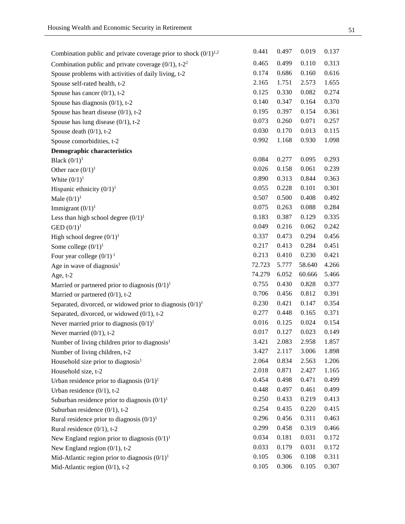| Combination public and private coverage prior to shock $(0/1)^{1,2}$ | 0.441  | 0.497 | 0.019  | 0.137          |
|----------------------------------------------------------------------|--------|-------|--------|----------------|
| Combination public and private coverage $(0/1)$ , t-2 <sup>2</sup>   | 0.465  | 0.499 | 0.110  | 0.313          |
| Spouse problems with activities of daily living, t-2                 | 0.174  | 0.686 | 0.160  | 0.616          |
| Spouse self-rated health, t-2                                        | 2.165  | 1.751 | 2.573  | 1.655          |
| Spouse has cancer $(0/1)$ , t-2                                      | 0.125  | 0.330 | 0.082  | 0.274          |
| Spouse has diagnosis $(0/1)$ , t-2                                   | 0.140  | 0.347 | 0.164  | 0.370          |
| Spouse has heart disease $(0/1)$ , t-2                               | 0.195  | 0.397 | 0.154  | 0.361          |
| Spouse has lung disease $(0/1)$ , t-2                                | 0.073  | 0.260 | 0.071  | 0.257          |
| Spouse death (0/1), t-2                                              | 0.030  | 0.170 | 0.013  | 0.115          |
| Spouse comorbidities, t-2                                            | 0.992  | 1.168 | 0.930  | 1.098          |
| <b>Demographic characteristics</b>                                   |        |       |        |                |
| Black $(0/1)^1$                                                      | 0.084  | 0.277 | 0.095  | 0.293          |
| Other race $(0/1)^1$                                                 | 0.026  | 0.158 | 0.061  | 0.239          |
| White $(0/1)^1$                                                      | 0.890  | 0.313 | 0.844  | 0.363          |
| Hispanic ethnicity $(0/1)^1$                                         | 0.055  | 0.228 | 0.101  | 0.301          |
| Male $(0/1)^1$                                                       | 0.507  | 0.500 | 0.408  | 0.492          |
| Immigrant $(0/1)^1$                                                  | 0.075  | 0.263 | 0.088  | 0.284          |
| Less than high school degree $(0/1)^1$                               | 0.183  | 0.387 | 0.129  | 0.335          |
| GED $(0/1)^1$                                                        | 0.049  | 0.216 | 0.062  | 0.242          |
| High school degree $(0/1)^1$                                         | 0.337  | 0.473 | 0.294  | 0.456          |
| Some college $(0/1)^1$                                               | 0.217  | 0.413 | 0.284  | 0.451          |
| Four year college $(0/1)^1$                                          | 0.213  | 0.410 | 0.230  | 0.421          |
|                                                                      |        |       |        |                |
| Age in wave of diagnosis $1$                                         | 72.723 | 5.777 | 58.640 | 4.266          |
| Age, t-2                                                             | 74.279 | 6.052 | 60.666 | 5.466          |
| Married or partnered prior to diagnosis $(0/1)^1$                    | 0.755  | 0.430 | 0.828  | 0.377          |
| Married or partnered $(0/1)$ , t-2                                   | 0.706  | 0.456 | 0.812  | 0.391          |
| Separated, divorced, or widowed prior to diagnosis $(0/1)^1$         | 0.230  | 0.421 | 0.147  | 0.354          |
| Separated, divorced, or widowed (0/1), t-2                           | 0.277  | 0.448 | 0.165  | 0.371          |
| Never married prior to diagnosis $(0/1)^1$                           | 0.016  | 0.125 | 0.024  | 0.154          |
| Never married $(0/1)$ , t-2                                          | 0.017  | 0.127 | 0.023  | 0.149          |
| Number of living children prior to diagnosis <sup>1</sup>            | 3.421  | 2.083 | 2.958  | 1.857          |
| Number of living children, t-2                                       | 3.427  | 2.117 | 3.006  | 1.898          |
| Household size prior to diagnosis <sup>1</sup>                       | 2.064  | 0.834 | 2.563  | 1.206          |
| Household size, t-2                                                  | 2.018  | 0.871 | 2.427  | 1.165          |
| Urban residence prior to diagnosis $(0/1)^1$                         | 0.454  | 0.498 | 0.471  | 0.499          |
| Urban residence $(0/1)$ , t-2                                        | 0.448  | 0.497 | 0.461  | 0.499          |
| Suburban residence prior to diagnosis $(0/1)^1$                      | 0.250  | 0.433 | 0.219  | 0.413          |
| Suburban residence $(0/1)$ , t-2                                     | 0.254  | 0.435 | 0.220  | 0.415          |
| Rural residence prior to diagnosis $(0/1)^1$                         | 0.296  | 0.456 | 0.311  | 0.463          |
| Rural residence $(0/1)$ , t-2                                        | 0.299  | 0.458 | 0.319  | 0.466          |
| New England region prior to diagnosis $(0/1)^1$                      | 0.034  | 0.181 | 0.031  | 0.172          |
| New England region $(0/1)$ , t-2                                     | 0.033  | 0.179 | 0.031  | 0.172          |
| Mid-Atlantic region prior to diagnosis $(0/1)^1$                     | 0.105  | 0.306 | 0.108  | 0.311<br>0.307 |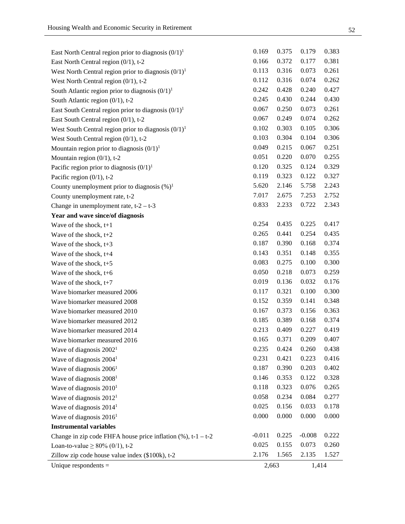| Unique respondents $=$                                           | 2,663    |       | 1,414    |       |
|------------------------------------------------------------------|----------|-------|----------|-------|
| Zillow zip code house value index (\$100k), t-2                  | 2.176    | 1.565 | 2.135    | 1.527 |
| Loan-to-value $\geq 80\%$ (0/1), t-2                             | 0.025    | 0.155 | 0.073    | 0.260 |
| Change in zip code FHFA house price inflation $(\%)$ , t-1 - t-2 | $-0.011$ | 0.225 | $-0.008$ | 0.222 |
| <b>Instrumental variables</b>                                    |          |       |          |       |
| Wave of diagnosis $20161$                                        | 0.000    | 0.000 | 0.000    | 0.000 |
| Wave of diagnosis $20141$                                        | 0.025    | 0.156 | 0.033    | 0.178 |
| Wave of diagnosis 2012 <sup>1</sup>                              | 0.058    | 0.234 | 0.084    | 0.277 |
| Wave of diagnosis $20101$                                        | 0.118    | 0.323 | 0.076    | 0.265 |
| Wave of diagnosis $20081$                                        | 0.146    | 0.353 | 0.122    | 0.328 |
| Wave of diagnosis 2006 <sup>1</sup>                              | 0.187    | 0.390 | 0.203    | 0.402 |
| Wave of diagnosis $20041$                                        | 0.231    | 0.421 | 0.223    | 0.416 |
| Wave of diagnosis $20021$                                        | 0.235    | 0.424 | 0.260    | 0.438 |
| Wave biomarker measured 2016                                     | 0.165    | 0.371 | 0.209    | 0.407 |
| Wave biomarker measured 2014                                     | 0.213    | 0.409 | 0.227    | 0.419 |
| Wave biomarker measured 2012                                     | 0.185    | 0.389 | 0.168    | 0.374 |
| Wave biomarker measured 2010                                     | 0.167    | 0.373 | 0.156    | 0.363 |
| Wave biomarker measured 2008                                     | 0.152    | 0.359 | 0.141    | 0.348 |
| Wave biomarker measured 2006                                     | 0.117    | 0.321 | 0.100    | 0.300 |
| Wave of the shock, $t+7$                                         | 0.019    | 0.136 | 0.032    | 0.176 |
| Wave of the shock, $t+6$                                         | 0.050    | 0.218 | 0.073    | 0.259 |
| Wave of the shock, t+5                                           | 0.083    | 0.275 | 0.100    | 0.300 |
| Wave of the shock, $t+4$                                         | 0.143    | 0.351 | 0.148    | 0.355 |
| Wave of the shock, $t+3$                                         | 0.187    | 0.390 | 0.168    | 0.374 |
| Wave of the shock, $t+2$                                         | 0.265    | 0.441 | 0.254    | 0.435 |
| Wave of the shock, $t+1$                                         | 0.254    | 0.435 | 0.225    | 0.417 |
| Year and wave since/of diagnosis                                 |          |       |          |       |
| Change in unemployment rate, $t-2 - t-3$                         | 0.833    | 2.233 | 0.722    | 2.343 |
| County unemployment rate, t-2                                    | 7.017    | 2.675 | 7.253    | 2.752 |
| County unemployment prior to diagnosis $(\%)^1$                  | 5.620    | 2.146 | 5.758    | 2.243 |
| Pacific region $(0/1)$ , t-2                                     | 0.119    | 0.323 | 0.122    | 0.327 |
| Pacific region prior to diagnosis $(0/1)^1$                      | 0.120    | 0.325 | 0.124    | 0.329 |
| Mountain region $(0/1)$ , t-2                                    | 0.051    | 0.220 | 0.070    | 0.255 |
| Mountain region prior to diagnosis $(0/1)^1$                     | 0.049    | 0.215 | 0.067    | 0.251 |
| West South Central region $(0/1)$ , t-2                          | 0.103    | 0.304 | 0.104    | 0.306 |
| West South Central region prior to diagnosis $(0/1)^1$           | 0.102    | 0.303 | 0.105    | 0.306 |
| East South Central region $(0/1)$ , t-2                          | 0.067    | 0.249 | 0.074    | 0.262 |
| East South Central region prior to diagnosis $(0/1)^1$           | 0.067    | 0.250 | 0.073    | 0.261 |
| South Atlantic region $(0/1)$ , t-2                              | 0.245    | 0.430 | 0.244    | 0.430 |
| South Atlantic region prior to diagnosis $(0/1)^1$               | 0.242    | 0.428 | 0.240    | 0.427 |
| West North Central region $(0/1)$ , t-2                          | 0.112    | 0.316 | 0.074    | 0.262 |
| West North Central region prior to diagnosis $(0/1)^1$           | 0.113    | 0.316 | 0.073    | 0.261 |
| East North Central region $(0/1)$ , t-2                          | 0.166    | 0.372 | 0.177    | 0.381 |
| East North Central region prior to diagnosis $(0/1)^1$           | 0.169    | 0.375 | 0.179    | 0.383 |
|                                                                  |          |       |          |       |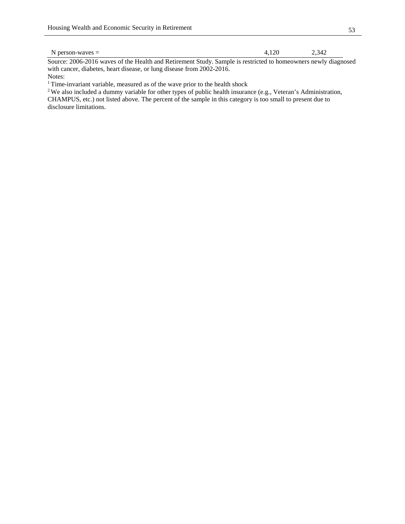Source: 2006-2016 waves of the Health and Retirement Study. Sample is restricted to homeowners newly diagnosed with cancer, diabetes, heart disease, or lung disease from 2002-2016. Notes:

 $^1$  Time-invariant variable, measured as of the wave prior to the health shock

<sup>2</sup> We also included a dummy variable for other types of public health insurance (e.g., Veteran's Administration, CHAMPUS, etc.) not listed above. The percent of the sample in this category is too small to present due to disclosure limitations.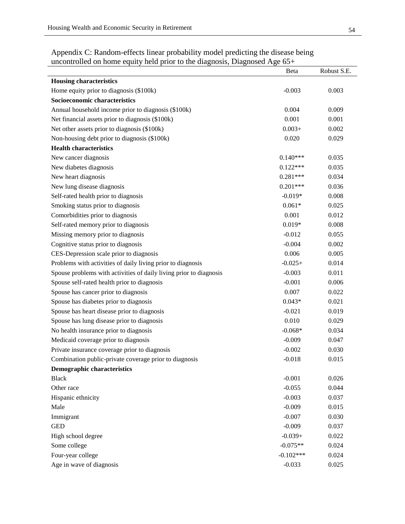| ancomponed on nome equity neig prior to the diagnosis, Diagnosed Age | Beta        | Robust S.E. |
|----------------------------------------------------------------------|-------------|-------------|
| <b>Housing characteristics</b>                                       |             |             |
| Home equity prior to diagnosis (\$100k)                              | $-0.003$    | 0.003       |
| Socioeconomic characteristics                                        |             |             |
| Annual household income prior to diagnosis (\$100k)                  | 0.004       | 0.009       |
| Net financial assets prior to diagnosis (\$100k)                     | 0.001       | 0.001       |
| Net other assets prior to diagnosis (\$100k)                         | $0.003+$    | 0.002       |
| Non-housing debt prior to diagnosis (\$100k)                         | 0.020       | 0.029       |
| <b>Health characteristics</b>                                        |             |             |
| New cancer diagnosis                                                 | $0.140***$  | 0.035       |
| New diabetes diagnosis                                               | $0.122***$  | 0.035       |
| New heart diagnosis                                                  | $0.281***$  | 0.034       |
| New lung disease diagnosis                                           | $0.201***$  | 0.036       |
| Self-rated health prior to diagnosis                                 | $-0.019*$   | 0.008       |
| Smoking status prior to diagnosis                                    | $0.061*$    | 0.025       |
| Comorbidities prior to diagnosis                                     | 0.001       | 0.012       |
| Self-rated memory prior to diagnosis                                 | $0.019*$    | 0.008       |
| Missing memory prior to diagnosis                                    | $-0.012$    | 0.055       |
| Cognitive status prior to diagnosis                                  | $-0.004$    | 0.002       |
| CES-Depression scale prior to diagnosis                              | 0.006       | 0.005       |
| Problems with activities of daily living prior to diagnosis          | $-0.025+$   | 0.014       |
| Spouse problems with activities of daily living prior to diagnosis   | $-0.003$    | 0.011       |
| Spouse self-rated health prior to diagnosis                          | $-0.001$    | 0.006       |
| Spouse has cancer prior to diagnosis                                 | 0.007       | 0.022       |
| Spouse has diabetes prior to diagnosis                               | $0.043*$    | 0.021       |
| Spouse has heart disease prior to diagnosis                          | $-0.021$    | 0.019       |
| Spouse has lung disease prior to diagnosis                           | 0.010       | 0.029       |
| No health insurance prior to diagnosis                               | $-0.068*$   | 0.034       |
| Medicaid coverage prior to diagnosis                                 | $-0.009$    | 0.047       |
| Private insurance coverage prior to diagnosis                        | $-0.002$    | 0.030       |
| Combination public-private coverage prior to diagnosis               | $-0.018$    | 0.015       |
| <b>Demographic characteristics</b>                                   |             |             |
| <b>Black</b>                                                         | $-0.001$    | 0.026       |
| Other race                                                           | $-0.055$    | 0.044       |
| Hispanic ethnicity                                                   | $-0.003$    | 0.037       |
| Male                                                                 | $-0.009$    | 0.015       |
| Immigrant                                                            | $-0.007$    | 0.030       |
| <b>GED</b>                                                           | $-0.009$    | 0.037       |
| High school degree                                                   | $-0.039+$   | 0.022       |
| Some college                                                         | $-0.075**$  | 0.024       |
| Four-year college                                                    | $-0.102***$ | 0.024       |
| Age in wave of diagnosis                                             | $-0.033$    | 0.025       |

Appendix C: Random-effects linear probability model predicting the disease being uncontrolled on home equity held prior to the diagnosis, Diagnosed Age  $65+$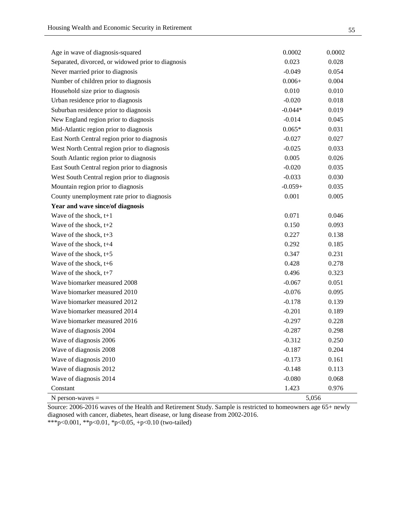| Age in wave of diagnosis-squared                   | 0.0002    | 0.0002 |
|----------------------------------------------------|-----------|--------|
| Separated, divorced, or widowed prior to diagnosis | 0.023     | 0.028  |
| Never married prior to diagnosis                   | $-0.049$  | 0.054  |
| Number of children prior to diagnosis              | $0.006 +$ | 0.004  |
| Household size prior to diagnosis                  | 0.010     | 0.010  |
| Urban residence prior to diagnosis                 | $-0.020$  | 0.018  |
| Suburban residence prior to diagnosis              | $-0.044*$ | 0.019  |
| New England region prior to diagnosis              | $-0.014$  | 0.045  |
| Mid-Atlantic region prior to diagnosis             | $0.065*$  | 0.031  |
| East North Central region prior to diagnosis       | $-0.027$  | 0.027  |
| West North Central region prior to diagnosis       | $-0.025$  | 0.033  |
| South Atlantic region prior to diagnosis           | 0.005     | 0.026  |
| East South Central region prior to diagnosis       | $-0.020$  | 0.035  |
| West South Central region prior to diagnosis       | $-0.033$  | 0.030  |
| Mountain region prior to diagnosis                 | $-0.059+$ | 0.035  |
| County unemployment rate prior to diagnosis        | 0.001     | 0.005  |
| Year and wave since/of diagnosis                   |           |        |
| Wave of the shock, $t+1$                           | 0.071     | 0.046  |
| Wave of the shock, $t+2$                           | 0.150     | 0.093  |
| Wave of the shock, $t+3$                           | 0.227     | 0.138  |
| Wave of the shock, $t+4$                           | 0.292     | 0.185  |
| Wave of the shock, $t+5$                           | 0.347     | 0.231  |
| Wave of the shock, $t+6$                           | 0.428     | 0.278  |
| Wave of the shock, $t+7$                           | 0.496     | 0.323  |
| Wave biomarker measured 2008                       | $-0.067$  | 0.051  |
| Wave biomarker measured 2010                       | $-0.076$  | 0.095  |
| Wave biomarker measured 2012                       | $-0.178$  | 0.139  |
| Wave biomarker measured 2014                       | $-0.201$  | 0.189  |
| Wave biomarker measured 2016                       | $-0.297$  | 0.228  |
| Wave of diagnosis 2004                             | $-0.287$  | 0.298  |
| Wave of diagnosis 2006                             | $-0.312$  | 0.250  |
| Wave of diagnosis 2008                             | $-0.187$  | 0.204  |
| Wave of diagnosis 2010                             | $-0.173$  | 0.161  |
| Wave of diagnosis 2012                             | $-0.148$  | 0.113  |
| Wave of diagnosis 2014                             | $-0.080$  | 0.068  |
| Constant                                           | 1.423     | 0.976  |
| $N$ person-waves $=$                               | 5,056     |        |

Source: 2006-2016 waves of the Health and Retirement Study. Sample is restricted to homeowners age 65+ newly diagnosed with cancer, diabetes, heart disease, or lung disease from 2002-2016.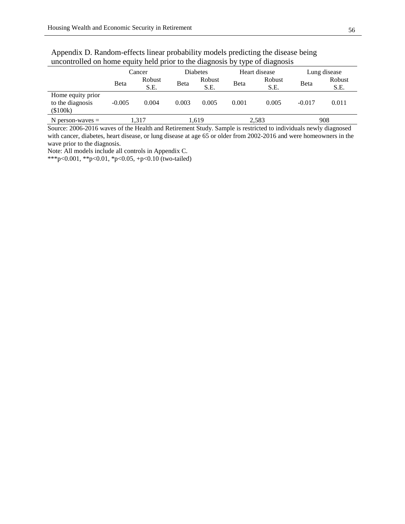|                                                   | Cancer   |                | <b>Diabetes</b> |                | Heart disease |                | Lung disease |                |
|---------------------------------------------------|----------|----------------|-----------------|----------------|---------------|----------------|--------------|----------------|
|                                                   | Beta     | Robust<br>S.E. | Beta            | Robust<br>S.E. | Beta          | Robust<br>S.E. | Beta         | Robust<br>S.E. |
| Home equity prior<br>to the diagnosis<br>(\$100k) | $-0.005$ | 0.004          | 0.003           | 0.005          | 0.001         | 0.005          | $-0.017$     | 0.011          |
| $N$ person-waves $=$                              | 1.317    |                | .619            |                | 2,583         |                | 908          |                |

Appendix D. Random-effects linear probability models predicting the disease being uncontrolled on home equity held prior to the diagnosis by type of diagnosis

Source: 2006-2016 waves of the Health and Retirement Study. Sample is restricted to individuals newly diagnosed with cancer, diabetes, heart disease, or lung disease at age 65 or older from 2002-2016 and were homeowners in the wave prior to the diagnosis.

Note: All models include all controls in Appendix C.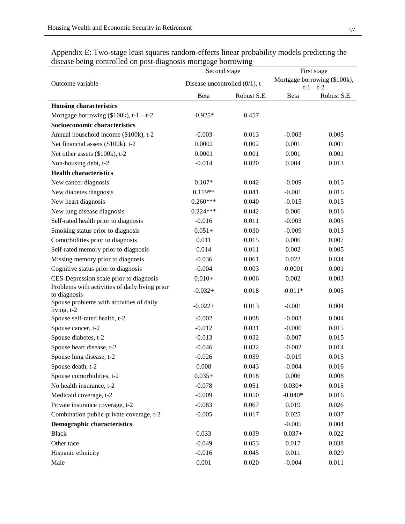|                                                                | Second stage                     |             | First stage |                                             |  |
|----------------------------------------------------------------|----------------------------------|-------------|-------------|---------------------------------------------|--|
| Outcome variable                                               | Disease uncontrolled $(0/1)$ , t |             |             | Mortgage borrowing (\$100k),<br>$t-1 - t-2$ |  |
|                                                                | Beta                             | Robust S.E. | Beta        | Robust S.E.                                 |  |
| <b>Housing characteristics</b>                                 |                                  |             |             |                                             |  |
| Mortgage borrowing $(\$100k)$ , t-1 – t-2                      | $-0.925*$                        | 0.457       |             |                                             |  |
| Socioeconomic characteristics                                  |                                  |             |             |                                             |  |
| Annual household income (\$100k), t-2                          | $-0.003$                         | 0.013       | $-0.003$    | 0.005                                       |  |
| Net financial assets (\$100k), t-2                             | 0.0002                           | 0.002       | 0.001       | 0.001                                       |  |
| Net other assets (\$100k), t-2                                 | 0.0001                           | 0.001       | 0.001       | 0.001                                       |  |
| Non-housing debt, t-2                                          | $-0.014$                         | 0.020       | 0.004       | 0.013                                       |  |
| <b>Health characteristics</b>                                  |                                  |             |             |                                             |  |
| New cancer diagnosis                                           | $0.107*$                         | 0.042       | $-0.009$    | 0.015                                       |  |
| New diabetes diagnosis                                         | $0.119**$                        | 0.041       | $-0.001$    | 0.016                                       |  |
| New heart diagnosis                                            | $0.260***$                       | 0.040       | $-0.015$    | 0.015                                       |  |
| New lung disease diagnosis                                     | $0.224***$                       | 0.042       | 0.006       | 0.016                                       |  |
| Self-rated health prior to diagnosis                           | $-0.016$                         | 0.011       | $-0.003$    | 0.005                                       |  |
| Smoking status prior to diagnosis                              | $0.051+$                         | 0.030       | $-0.009$    | 0.013                                       |  |
| Comorbidities prior to diagnosis                               | 0.011                            | 0.015       | 0.006       | 0.007                                       |  |
| Self-rated memory prior to diagnosis                           | 0.014                            | 0.011       | 0.002       | 0.005                                       |  |
| Missing memory prior to diagnosis                              | $-0.036$                         | 0.061       | 0.022       | 0.034                                       |  |
| Cognitive status prior to diagnosis                            | $-0.004$                         | 0.003       | $-0.0001$   | 0.001                                       |  |
| CES-Depression scale prior to diagnosis                        | $0.010+$                         | 0.006       | 0.002       | 0.003                                       |  |
| Problems with activities of daily living prior<br>to diagnosis | $-0.032+$                        | 0.018       | $-0.011*$   | 0.005                                       |  |
| Spouse problems with activities of daily<br>living, t-2        | $-0.022+$                        | 0.013       | $-0.001$    | 0.004                                       |  |
| Spouse self-rated health, t-2                                  | $-0.002$                         | 0.008       | $-0.003$    | 0.004                                       |  |
| Spouse cancer, t-2                                             | $-0.012$                         | 0.031       | $-0.006$    | 0.015                                       |  |
| Spouse diabetes, t-2                                           | $-0.013$                         | 0.032       | $-0.007$    | 0.015                                       |  |
| Spouse heart disease, t-2                                      | $-0.046$                         | 0.032       | $-0.002$    | 0.014                                       |  |
| Spouse lung disease, t-2                                       | $-0.026$                         | 0.039       | $-0.019$    | 0.015                                       |  |
| Spouse death, t-2                                              | 0.008                            | 0.043       | $-0.004$    | 0.016                                       |  |
| Spouse comorbidities, t-2                                      | $0.035+$                         | 0.018       | 0.006       | 0.008                                       |  |
| No health insurance, t-2                                       | $-0.078$                         | 0.051       | $0.030+$    | 0.015                                       |  |
| Medicaid coverage, t-2                                         | $-0.009$                         | 0.050       | $-0.040*$   | 0.016                                       |  |
| Private insurance coverage, t-2                                | $-0.083$                         | 0.067       | 0.019       | 0.026                                       |  |
| Combination public-private coverage, t-2                       | $-0.005$                         | 0.017       | 0.025       | 0.037                                       |  |
| <b>Demographic characteristics</b>                             |                                  |             | $-0.005$    | 0.004                                       |  |
| <b>Black</b>                                                   | 0.033                            | 0.039       | $0.037 +$   | 0.022                                       |  |
| Other race                                                     | $-0.049$                         | 0.053       | 0.017       | 0.038                                       |  |
| Hispanic ethnicity                                             | $-0.016$                         | 0.045       | 0.011       | 0.029                                       |  |
| Male                                                           | 0.001                            | 0.020       | $-0.004$    | 0.011                                       |  |

| Appendix E: Two-stage least squares random-effects linear probability models predicting the |  |  |
|---------------------------------------------------------------------------------------------|--|--|
| disease being controlled on post-diagnosis mortgage borrowing                               |  |  |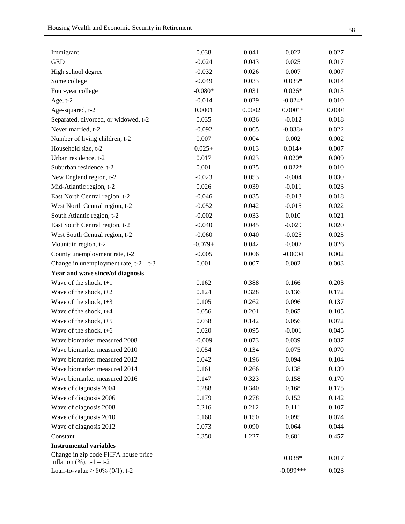| Immigrant                                | 0.038     | 0.041  | 0.022       | 0.027  |
|------------------------------------------|-----------|--------|-------------|--------|
| <b>GED</b>                               | $-0.024$  | 0.043  | 0.025       | 0.017  |
| High school degree                       | $-0.032$  | 0.026  | 0.007       | 0.007  |
| Some college                             | $-0.049$  | 0.033  | $0.035*$    | 0.014  |
| Four-year college                        | $-0.080*$ | 0.031  | $0.026*$    | 0.013  |
| Age, $t-2$                               | $-0.014$  | 0.029  | $-0.024*$   | 0.010  |
| Age-squared, t-2                         | 0.0001    | 0.0002 | $0.0001*$   | 0.0001 |
| Separated, divorced, or widowed, t-2     | 0.035     | 0.036  | $-0.012$    | 0.018  |
| Never married, t-2                       | $-0.092$  | 0.065  | $-0.038+$   | 0.022  |
| Number of living children, t-2           | 0.007     | 0.004  | 0.002       | 0.002  |
| Household size, t-2                      | $0.025+$  | 0.013  | $0.014+$    | 0.007  |
| Urban residence, t-2                     | 0.017     | 0.023  | $0.020*$    | 0.009  |
| Suburban residence, t-2                  | 0.001     | 0.025  | $0.022*$    | 0.010  |
| New England region, t-2                  | $-0.023$  | 0.053  | $-0.004$    | 0.030  |
| Mid-Atlantic region, t-2                 | 0.026     | 0.039  | $-0.011$    | 0.023  |
| East North Central region, t-2           | $-0.046$  | 0.035  | $-0.013$    | 0.018  |
| West North Central region, t-2           | $-0.052$  | 0.042  | $-0.015$    | 0.022  |
| South Atlantic region, t-2               | $-0.002$  | 0.033  | 0.010       | 0.021  |
| East South Central region, t-2           | $-0.040$  | 0.045  | $-0.029$    | 0.020  |
| West South Central region, t-2           | $-0.060$  | 0.040  | $-0.025$    | 0.023  |
| Mountain region, t-2                     | $-0.079+$ | 0.042  | $-0.007$    | 0.026  |
| County unemployment rate, t-2            | $-0.005$  | 0.006  | $-0.0004$   | 0.002  |
| Change in unemployment rate, $t-2 - t-3$ | 0.001     | 0.007  | 0.002       | 0.003  |
| Year and wave since/of diagnosis         |           |        |             |        |
| Wave of the shock, $t+1$                 | 0.162     | 0.388  | 0.166       | 0.203  |
| Wave of the shock, $t+2$                 | 0.124     | 0.328  | 0.136       | 0.172  |
| Wave of the shock, t+3                   | 0.105     | 0.262  | 0.096       | 0.137  |
| Wave of the shock, $t+4$                 | 0.056     | 0.201  | 0.065       | 0.105  |
| Wave of the shock, $t+5$                 | 0.038     | 0.142  | 0.056       | 0.072  |
| Wave of the shock, $t+6$                 | 0.020     | 0.095  | $-0.001$    | 0.045  |
| Wave biomarker measured 2008             | $-0.009$  | 0.073  | 0.039       | 0.037  |
| Wave biomarker measured 2010             | 0.054     | 0.134  | 0.075       | 0.070  |
| Wave biomarker measured 2012             | 0.042     | 0.196  | 0.094       | 0.104  |
| Wave biomarker measured 2014             | 0.161     | 0.266  | 0.138       | 0.139  |
| Wave biomarker measured 2016             | 0.147     | 0.323  | 0.158       | 0.170  |
| Wave of diagnosis 2004                   | 0.288     | 0.340  | 0.168       | 0.175  |
| Wave of diagnosis 2006                   | 0.179     | 0.278  | 0.152       | 0.142  |
| Wave of diagnosis 2008                   | 0.216     | 0.212  | 0.111       | 0.107  |
| Wave of diagnosis 2010                   | 0.160     | 0.150  | 0.095       | 0.074  |
| Wave of diagnosis 2012                   | 0.073     | 0.090  | 0.064       | 0.044  |
| Constant                                 | 0.350     | 1.227  | 0.681       | 0.457  |
| <b>Instrumental variables</b>            |           |        |             |        |
| Change in zip code FHFA house price      |           |        | $0.038*$    | 0.017  |
| inflation $(\%)$ , t-1 – t-2             |           |        |             |        |
| Loan-to-value $\geq 80\%$ (0/1), t-2     |           |        | $-0.099***$ | 0.023  |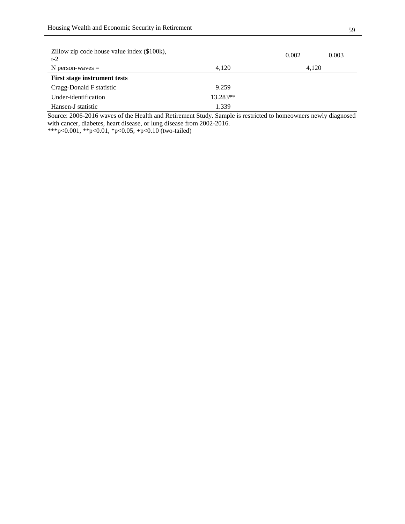| Zillow zip code house value index (\$100k),<br>$t-2$ |          | 0.002 | 0.003 |
|------------------------------------------------------|----------|-------|-------|
| N person-waves $=$                                   | 4.120    | 4.120 |       |
| <b>First stage instrument tests</b>                  |          |       |       |
| Cragg-Donald F statistic                             | 9.259    |       |       |
| Under-identification                                 | 13.283** |       |       |
| Hansen-J statistic                                   | 1.339    |       |       |

Source: 2006-2016 waves of the Health and Retirement Study. Sample is restricted to homeowners newly diagnosed with cancer, diabetes, heart disease, or lung disease from 2002-2016.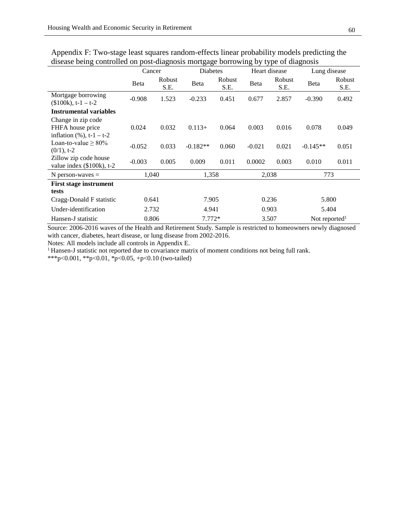|                                                       | Cancer   |                | Diabetes     |                | Heart disease |                | Lung disease              |                |
|-------------------------------------------------------|----------|----------------|--------------|----------------|---------------|----------------|---------------------------|----------------|
|                                                       | Beta     | Robust<br>S.E. | <b>B</b> eta | Robust<br>S.E. | Beta          | Robust<br>S.E. | Beta                      | Robust<br>S.E. |
| Mortgage borrowing<br>$($100k), t-1 - t-2$            | $-0.908$ | 1.523          | $-0.233$     | 0.451          | 0.677         | 2.857          | $-0.390$                  | 0.492          |
| <b>Instrumental variables</b>                         |          |                |              |                |               |                |                           |                |
| Change in zip code                                    |          |                |              |                |               |                |                           |                |
| FHFA house price                                      | 0.024    | 0.032          | $0.113+$     | 0.064          | 0.003         | 0.016          | 0.078                     | 0.049          |
| inflation $(\%), t-1 - t-2$                           |          |                |              |                |               |                |                           |                |
| Loan-to-value $\geq 80\%$<br>$(0/1)$ , t-2            | $-0.052$ | 0.033          | $-0.182**$   | 0.060          | $-0.021$      | 0.021          | $-0.145**$                | 0.051          |
| Zillow zip code house<br>value index $(\$100k)$ , t-2 | $-0.003$ | 0.005          | 0.009        | 0.011          | 0.0002        | 0.003          | 0.010                     | 0.011          |
| N person-waves $=$                                    | 1,040    |                | 1,358        |                | 2,038         |                | 773                       |                |
| <b>First stage instrument</b>                         |          |                |              |                |               |                |                           |                |
| tests                                                 |          |                |              |                |               |                |                           |                |
| Cragg-Donald F statistic<br>0.641                     |          | 7.905          |              | 0.236          |               | 5.800          |                           |                |
| Under-identification                                  | 2.732    |                | 4.941        |                | 0.903         |                | 5.404                     |                |
| Hansen-J statistic                                    | 0.806    |                | $7.772*$     |                | 3.507         |                | Not reported <sup>1</sup> |                |

Appendix F: Two-stage least squares random-effects linear probability models predicting the disease being controlled on post-diagnosis mortgage borrowing by type of diagnosis

Source: 2006-2016 waves of the Health and Retirement Study. Sample is restricted to homeowners newly diagnosed with cancer, diabetes, heart disease, or lung disease from 2002-2016.

Notes: All models include all controls in Appendix E.<br><sup>1</sup> Hansen-J statistic not reported due to covariance matrix of moment conditions not being full rank.